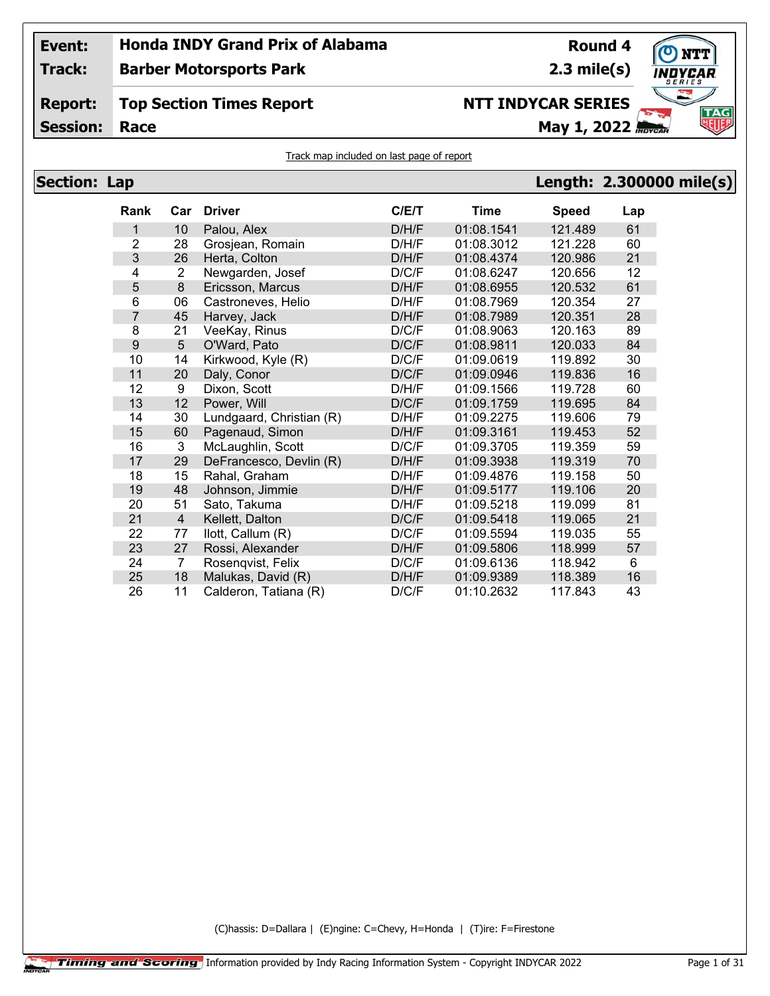# **Event:**

**Report:**

# **Honda INDY Grand Prix of Alabama**

**Track: Barber Motorsports Park**

# **Round 4**

**2.3 mile(s)**

# **Top Section Times Report**

**Session:**

# **Race May 1, 2022** *May* 1, 2022 **NTT INDYCAR SERIES**



### Track map included on last page of report

| <b>Section: Lap</b> |                |                |                          |       |             |              | Length: 2.300000 mile(s) |
|---------------------|----------------|----------------|--------------------------|-------|-------------|--------------|--------------------------|
|                     | Rank           | Car            | <b>Driver</b>            | C/E/T | <b>Time</b> | <b>Speed</b> | Lap                      |
|                     | 1              | 10             | Palou, Alex              | D/H/F | 01:08.1541  | 121.489      | 61                       |
|                     | $\overline{2}$ | 28             | Grosjean, Romain         | D/H/F | 01:08.3012  | 121.228      | 60                       |
|                     | 3              | 26             | Herta, Colton            | D/H/F | 01:08.4374  | 120.986      | 21                       |
|                     | 4              | $\overline{2}$ | Newgarden, Josef         | D/C/F | 01:08.6247  | 120.656      | 12                       |
|                     | 5              | 8              | Ericsson, Marcus         | D/H/F | 01:08.6955  | 120.532      | 61                       |
|                     | 6              | 06             | Castroneves, Helio       | D/H/F | 01:08.7969  | 120.354      | 27                       |
|                     | 7              | 45             | Harvey, Jack             | D/H/F | 01:08.7989  | 120.351      | 28                       |
|                     | 8              | 21             | VeeKay, Rinus            | D/C/F | 01:08.9063  | 120.163      | 89                       |
|                     | 9              | $5\phantom{.}$ | O'Ward, Pato             | D/C/F | 01:08.9811  | 120.033      | 84                       |
|                     | 10             | 14             | Kirkwood, Kyle (R)       | D/C/F | 01:09.0619  | 119.892      | 30                       |
|                     | 11             | 20             | Daly, Conor              | D/C/F | 01:09.0946  | 119.836      | 16                       |
|                     | 12             | 9              | Dixon, Scott             | D/H/F | 01:09.1566  | 119.728      | 60                       |
|                     | 13             | 12             | Power, Will              | D/C/F | 01:09.1759  | 119.695      | 84                       |
|                     | 14             | 30             | Lundgaard, Christian (R) | D/H/F | 01:09.2275  | 119.606      | 79                       |
|                     | 15             | 60             | Pagenaud, Simon          | D/H/F | 01:09.3161  | 119.453      | 52                       |
|                     | 16             | 3              | McLaughlin, Scott        | D/C/F | 01:09.3705  | 119.359      | 59                       |
|                     | 17             | 29             | DeFrancesco, Devlin (R)  | D/H/F | 01:09.3938  | 119.319      | 70                       |
|                     | 18             | 15             | Rahal, Graham            | D/H/F | 01:09.4876  | 119.158      | 50                       |
|                     | 19             | 48             | Johnson, Jimmie          | D/H/F | 01:09.5177  | 119.106      | 20                       |
|                     | 20             | 51             | Sato, Takuma             | D/H/F | 01:09.5218  | 119.099      | 81                       |
|                     | 21             | $\overline{4}$ | Kellett, Dalton          | D/C/F | 01:09.5418  | 119.065      | 21                       |
|                     | 22             | 77             | llott, Callum (R)        | D/C/F | 01:09.5594  | 119.035      | 55                       |
|                     | 23             | 27             | Rossi, Alexander         | D/H/F | 01:09.5806  | 118.999      | 57                       |
|                     | 24             | 7              | Rosenqvist, Felix        | D/C/F | 01:09.6136  | 118.942      | 6                        |
|                     | 25             | 18             | Malukas, David (R)       | D/H/F | 01:09.9389  | 118.389      | 16                       |
|                     | 26             | 11             | Calderon, Tatiana (R)    | D/C/F | 01:10.2632  | 117.843      | 43                       |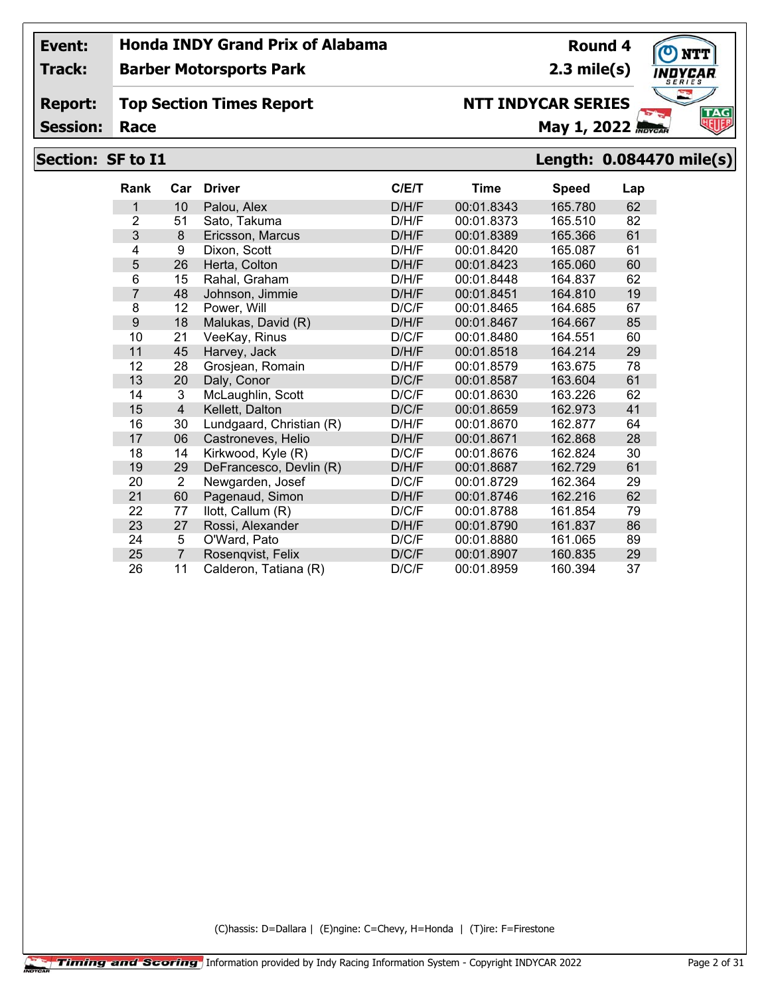**Track:**

## **Barber Motorsports Park**

#### **Report: Top Section Times Report**

**Session:**

# **NTT INDYCAR SERIES**

**May 1, 2022** 

**Round 4 2.3 mile(s)**

# **Section: SF to I1 Length: 0.084470 mile(s)**

| Rank           | Car            | <b>Driver</b>            | C/ET  | <b>Time</b> | <b>Speed</b> | Lap |
|----------------|----------------|--------------------------|-------|-------------|--------------|-----|
| 1              | 10             | Palou, Alex              | D/H/F | 00:01.8343  | 165.780      | 62  |
| $\overline{2}$ | 51             | Sato, Takuma             | D/H/F | 00:01.8373  | 165.510      | 82  |
| 3              | 8              | Ericsson, Marcus         | D/H/F | 00:01.8389  | 165.366      | 61  |
| 4              | 9              | Dixon, Scott             | D/H/F | 00:01.8420  | 165.087      | 61  |
| 5              | 26             | Herta, Colton            | D/H/F | 00:01.8423  | 165.060      | 60  |
| 6              | 15             | Rahal, Graham            | D/H/F | 00:01.8448  | 164.837      | 62  |
| 7              | 48             | Johnson, Jimmie          | D/H/F | 00:01.8451  | 164.810      | 19  |
| 8              | 12             | Power, Will              | D/C/F | 00:01.8465  | 164.685      | 67  |
| 9              | 18             | Malukas, David (R)       | D/H/F | 00:01.8467  | 164.667      | 85  |
| 10             | 21             | VeeKay, Rinus            | D/C/F | 00:01.8480  | 164.551      | 60  |
| 11             | 45             | Harvey, Jack             | D/H/F | 00:01.8518  | 164.214      | 29  |
| 12             | 28             | Grosjean, Romain         | D/H/F | 00:01.8579  | 163.675      | 78  |
| 13             | 20             | Daly, Conor              | D/C/F | 00:01.8587  | 163.604      | 61  |
| 14             | 3              | McLaughlin, Scott        | D/C/F | 00:01.8630  | 163.226      | 62  |
| 15             | $\overline{4}$ | Kellett, Dalton          | D/C/F | 00:01.8659  | 162.973      | 41  |
| 16             | 30             | Lundgaard, Christian (R) | D/H/F | 00:01.8670  | 162.877      | 64  |
| 17             | 06             | Castroneves, Helio       | D/H/F | 00:01.8671  | 162.868      | 28  |
| 18             | 14             | Kirkwood, Kyle (R)       | D/C/F | 00:01.8676  | 162.824      | 30  |
| 19             | 29             | DeFrancesco, Devlin (R)  | D/H/F | 00:01.8687  | 162.729      | 61  |
| 20             | 2              | Newgarden, Josef         | D/C/F | 00:01.8729  | 162.364      | 29  |
| 21             | 60             | Pagenaud, Simon          | D/H/F | 00:01.8746  | 162.216      | 62  |
| 22             | 77             | llott, Callum (R)        | D/C/F | 00:01.8788  | 161.854      | 79  |
| 23             | 27             | Rossi, Alexander         | D/H/F | 00:01.8790  | 161.837      | 86  |
| 24             | 5              | O'Ward, Pato             | D/C/F | 00:01.8880  | 161.065      | 89  |
| 25             | $\overline{7}$ | Rosenqvist, Felix        | D/C/F | 00:01.8907  | 160.835      | 29  |
| 26             | 11             | Calderon, Tatiana (R)    | D/C/F | 00:01.8959  | 160.394      | 37  |

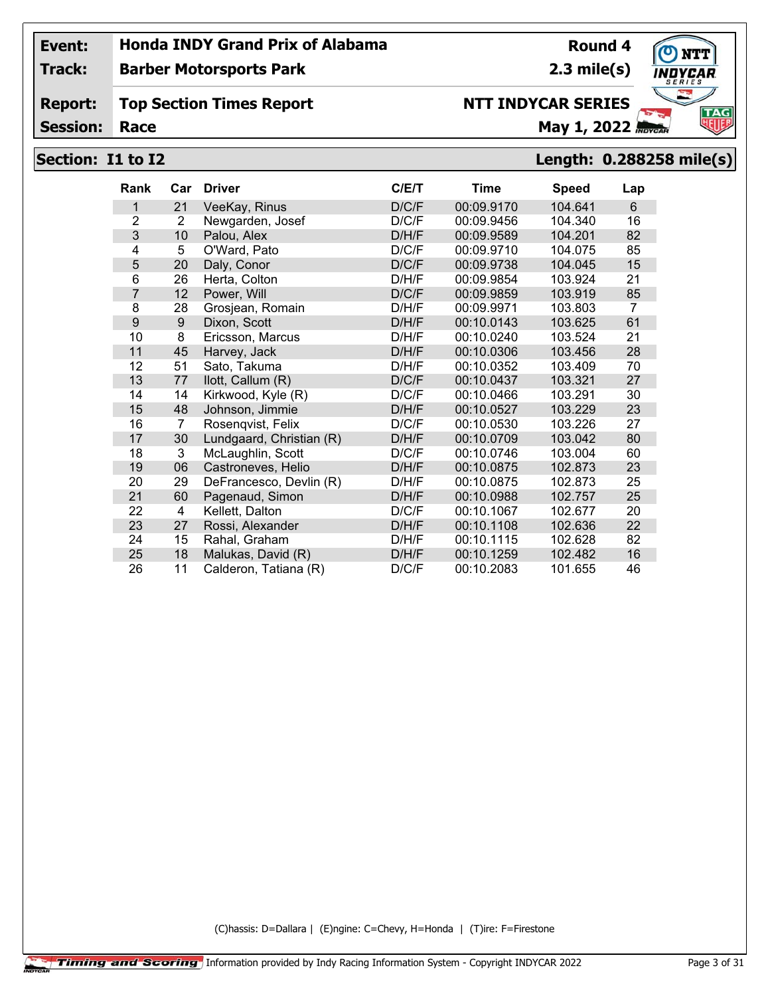**Track:**

**Barber Motorsports Park**

#### **Report: Top Section Times Report**

**Session:**

# **NTT INDYCAR SERIES**

**May 1, 2022** 

## **Section: I1 to I2 Length: 0.288258 mile(s)**

| <b>Rank</b>    | Car            | <b>Driver</b>            | C/E/T | Time       | <b>Speed</b> | Lap |
|----------------|----------------|--------------------------|-------|------------|--------------|-----|
| 1              | 21             | VeeKay, Rinus            | D/C/F | 00:09.9170 | 104.641      | 6   |
| $\overline{2}$ | $\overline{2}$ | Newgarden, Josef         | D/C/F | 00:09.9456 | 104.340      | 16  |
| 3              | 10             | Palou, Alex              | D/H/F | 00:09.9589 | 104.201      | 82  |
| 4              | 5              | O'Ward, Pato             | D/C/F | 00:09.9710 | 104.075      | 85  |
| 5              | 20             | Daly, Conor              | D/C/F | 00:09.9738 | 104.045      | 15  |
| 6              | 26             | Herta, Colton            | D/H/F | 00:09.9854 | 103.924      | 21  |
| $\overline{7}$ | 12             | Power, Will              | D/C/F | 00:09.9859 | 103.919      | 85  |
| 8              | 28             | Grosjean, Romain         | D/H/F | 00:09.9971 | 103.803      | 7   |
| 9              | 9              | Dixon, Scott             | D/H/F | 00:10.0143 | 103.625      | 61  |
| 10             | 8              | Ericsson, Marcus         | D/H/F | 00:10.0240 | 103.524      | 21  |
| 11             | 45             | Harvey, Jack             | D/H/F | 00:10.0306 | 103.456      | 28  |
| 12             | 51             | Sato, Takuma             | D/H/F | 00:10.0352 | 103.409      | 70  |
| 13             | 77             | llott, Callum (R)        | D/C/F | 00:10.0437 | 103.321      | 27  |
| 14             | 14             | Kirkwood, Kyle (R)       | D/C/F | 00:10.0466 | 103.291      | 30  |
| 15             | 48             | Johnson, Jimmie          | D/H/F | 00:10.0527 | 103.229      | 23  |
| 16             | 7              | Rosenqvist, Felix        | D/C/F | 00:10.0530 | 103.226      | 27  |
| 17             | 30             | Lundgaard, Christian (R) | D/H/F | 00:10.0709 | 103.042      | 80  |
| 18             | 3              | McLaughlin, Scott        | D/C/F | 00:10.0746 | 103.004      | 60  |
| 19             | 06             | Castroneves, Helio       | D/H/F | 00:10.0875 | 102.873      | 23  |
| 20             | 29             | DeFrancesco, Devlin (R)  | D/H/F | 00:10.0875 | 102.873      | 25  |
| 21             | 60             | Pagenaud, Simon          | D/H/F | 00:10.0988 | 102.757      | 25  |
| 22             | 4              | Kellett, Dalton          | D/C/F | 00:10.1067 | 102.677      | 20  |
| 23             | 27             | Rossi, Alexander         | D/H/F | 00:10.1108 | 102.636      | 22  |
| 24             | 15             | Rahal, Graham            | D/H/F | 00:10.1115 | 102.628      | 82  |
| 25             | 18             | Malukas, David (R)       | D/H/F | 00:10.1259 | 102.482      | 16  |
| 26             | 11             | Calderon, Tatiana (R)    | D/C/F | 00:10.2083 | 101.655      | 46  |

(C)hassis: D=Dallara | (E)ngine: C=Chevy, H=Honda | (T)ire: F=Firestone

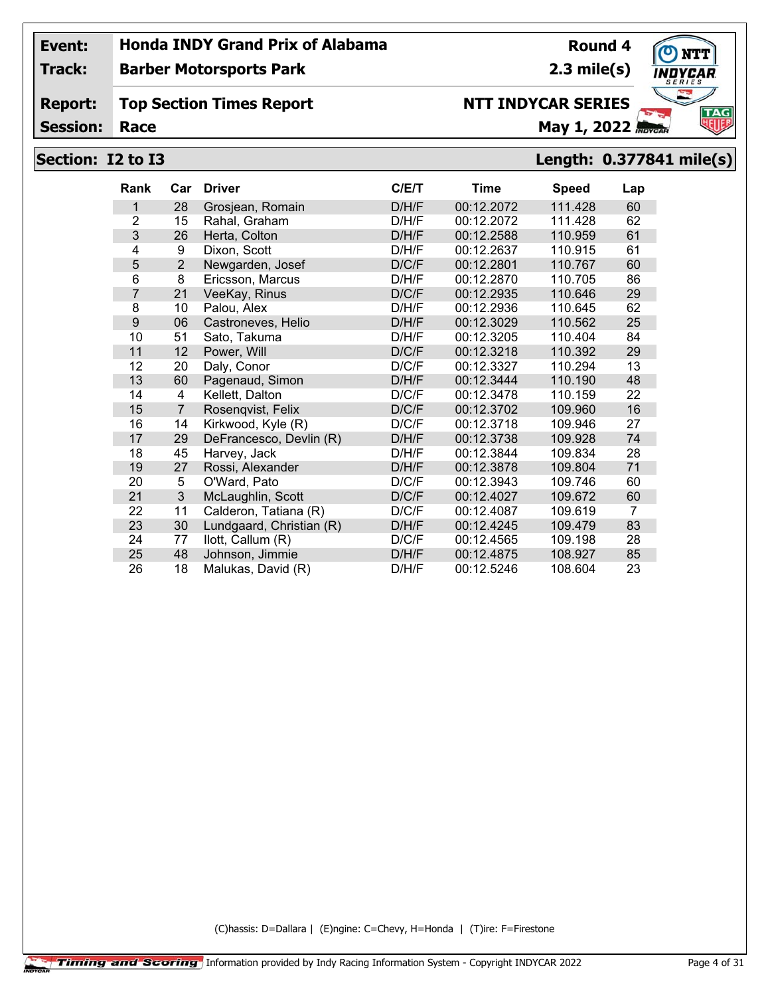**Track:**

**Barber Motorsports Park**

#### **Report: Top Section Times Report**

**Session:**

# **NTT INDYCAR SERIES**

**May 1, 2022** 

## **Section: I2 to I3 Length: 0.377841 mile(s)**

| <b>Rank</b>    | Car            | <b>Driver</b>            | C/ET  | Time       | <b>Speed</b> | Lap |
|----------------|----------------|--------------------------|-------|------------|--------------|-----|
| 1              | 28             | Grosjean, Romain         | D/H/F | 00:12.2072 | 111.428      | 60  |
| $\overline{2}$ | 15             | Rahal, Graham            | D/H/F | 00:12.2072 | 111.428      | 62  |
| 3              | 26             | Herta, Colton            | D/H/F | 00:12.2588 | 110.959      | 61  |
| 4              | 9              | Dixon, Scott             | D/H/F | 00:12.2637 | 110.915      | 61  |
| 5              | $\overline{2}$ | Newgarden, Josef         | D/C/F | 00:12.2801 | 110.767      | 60  |
| 6              | 8              | Ericsson, Marcus         | D/H/F | 00:12.2870 | 110.705      | 86  |
| 7              | 21             | VeeKay, Rinus            | D/C/F | 00:12.2935 | 110.646      | 29  |
| 8              | 10             | Palou, Alex              | D/H/F | 00:12.2936 | 110.645      | 62  |
| 9              | 06             | Castroneves, Helio       | D/H/F | 00:12.3029 | 110.562      | 25  |
| 10             | 51             | Sato, Takuma             | D/H/F | 00:12.3205 | 110.404      | 84  |
| 11             | 12             | Power, Will              | D/C/F | 00:12.3218 | 110.392      | 29  |
| 12             | 20             | Daly, Conor              | D/C/F | 00:12.3327 | 110.294      | 13  |
| 13             | 60             | Pagenaud, Simon          | D/H/F | 00:12.3444 | 110.190      | 48  |
| 14             | 4              | Kellett, Dalton          | D/C/F | 00:12.3478 | 110.159      | 22  |
| 15             | $\overline{7}$ | Rosenqvist, Felix        | D/C/F | 00:12.3702 | 109.960      | 16  |
| 16             | 14             | Kirkwood, Kyle (R)       | D/C/F | 00:12.3718 | 109.946      | 27  |
| 17             | 29             | DeFrancesco, Devlin (R)  | D/H/F | 00:12.3738 | 109.928      | 74  |
| 18             | 45             | Harvey, Jack             | D/H/F | 00:12.3844 | 109.834      | 28  |
| 19             | 27             | Rossi, Alexander         | D/H/F | 00:12.3878 | 109.804      | 71  |
| 20             | 5              | O'Ward, Pato             | D/C/F | 00:12.3943 | 109.746      | 60  |
| 21             | 3              | McLaughlin, Scott        | D/C/F | 00:12.4027 | 109.672      | 60  |
| 22             | 11             | Calderon, Tatiana (R)    | D/C/F | 00:12.4087 | 109.619      | 7   |
| 23             | 30             | Lundgaard, Christian (R) | D/H/F | 00:12.4245 | 109.479      | 83  |
| 24             | 77             | llott, Callum (R)        | D/C/F | 00:12.4565 | 109.198      | 28  |
| 25             | 48             | Johnson, Jimmie          | D/H/F | 00:12.4875 | 108.927      | 85  |
| 26             | 18             | Malukas, David (R)       | D/H/F | 00:12.5246 | 108.604      | 23  |

(C)hassis: D=Dallara | (E)ngine: C=Chevy, H=Honda | (T)ire: F=Firestone

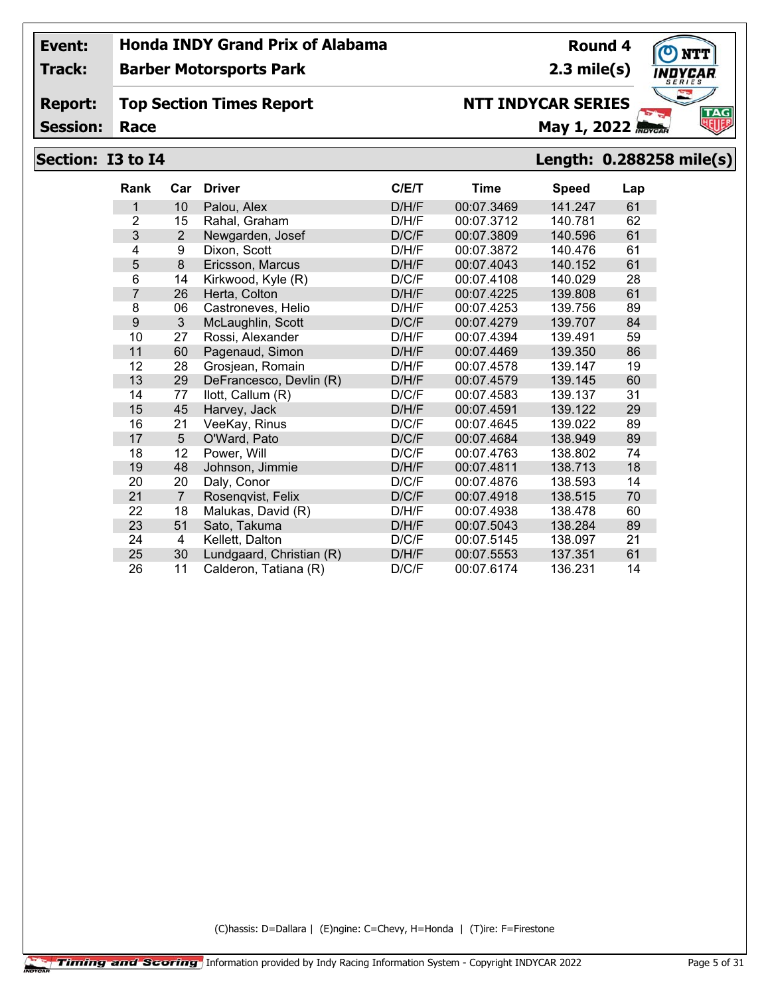**Track:**

**Barber Motorsports Park**

#### **Report: Top Section Times Report**

**Session:**

# **NTT INDYCAR SERIES**

**May 1, 2022** 

**Round 4 2.3 mile(s)**

# **Section: I3 to I4 Length: 0.288258 mile(s)**

| Rank           | Car            | <b>Driver</b>            | C/ET  | Time       | <b>Speed</b> | Lap |
|----------------|----------------|--------------------------|-------|------------|--------------|-----|
| 1              | 10             | Palou, Alex              | D/H/F | 00:07.3469 | 141.247      | 61  |
| $\overline{2}$ | 15             | Rahal, Graham            | D/H/F | 00:07.3712 | 140.781      | 62  |
| 3              | 2              | Newgarden, Josef         | D/C/F | 00:07.3809 | 140.596      | 61  |
| 4              | 9              | Dixon, Scott             | D/H/F | 00:07.3872 | 140.476      | 61  |
| 5              | 8              | Ericsson, Marcus         | D/H/F | 00:07.4043 | 140.152      | 61  |
| 6              | 14             | Kirkwood, Kyle (R)       | D/C/F | 00:07.4108 | 140.029      | 28  |
| $\overline{7}$ | 26             | Herta, Colton            | D/H/F | 00:07.4225 | 139.808      | 61  |
| 8              | 06             | Castroneves, Helio       | D/H/F | 00:07.4253 | 139.756      | 89  |
| 9              | 3              | McLaughlin, Scott        | D/C/F | 00:07.4279 | 139.707      | 84  |
| 10             | 27             | Rossi, Alexander         | D/H/F | 00:07.4394 | 139.491      | 59  |
| 11             | 60             | Pagenaud, Simon          | D/H/F | 00:07.4469 | 139.350      | 86  |
| 12             | 28             | Grosjean, Romain         | D/H/F | 00:07.4578 | 139.147      | 19  |
| 13             | 29             | DeFrancesco, Devlin (R)  | D/H/F | 00:07.4579 | 139.145      | 60  |
| 14             | 77             | llott, Callum (R)        | D/C/F | 00:07.4583 | 139.137      | 31  |
| 15             | 45             | Harvey, Jack             | D/H/F | 00:07.4591 | 139.122      | 29  |
| 16             | 21             | VeeKay, Rinus            | D/C/F | 00:07.4645 | 139.022      | 89  |
| 17             | 5              | O'Ward, Pato             | D/C/F | 00:07.4684 | 138.949      | 89  |
| 18             | 12             | Power, Will              | D/C/F | 00:07.4763 | 138.802      | 74  |
| 19             | 48             | Johnson, Jimmie          | D/H/F | 00:07.4811 | 138.713      | 18  |
| 20             | 20             | Daly, Conor              | D/C/F | 00:07.4876 | 138.593      | 14  |
| 21             | $\overline{7}$ | Rosenqvist, Felix        | D/C/F | 00:07.4918 | 138.515      | 70  |
| 22             | 18             | Malukas, David (R)       | D/H/F | 00:07.4938 | 138.478      | 60  |
| 23             | 51             | Sato, Takuma             | D/H/F | 00:07.5043 | 138.284      | 89  |
| 24             | 4              | Kellett, Dalton          | D/C/F | 00:07.5145 | 138.097      | 21  |
| 25             | 30             | Lundgaard, Christian (R) | D/H/F | 00:07.5553 | 137.351      | 61  |
| 26             | 11             | Calderon, Tatiana (R)    | D/C/F | 00:07.6174 | 136.231      | 14  |

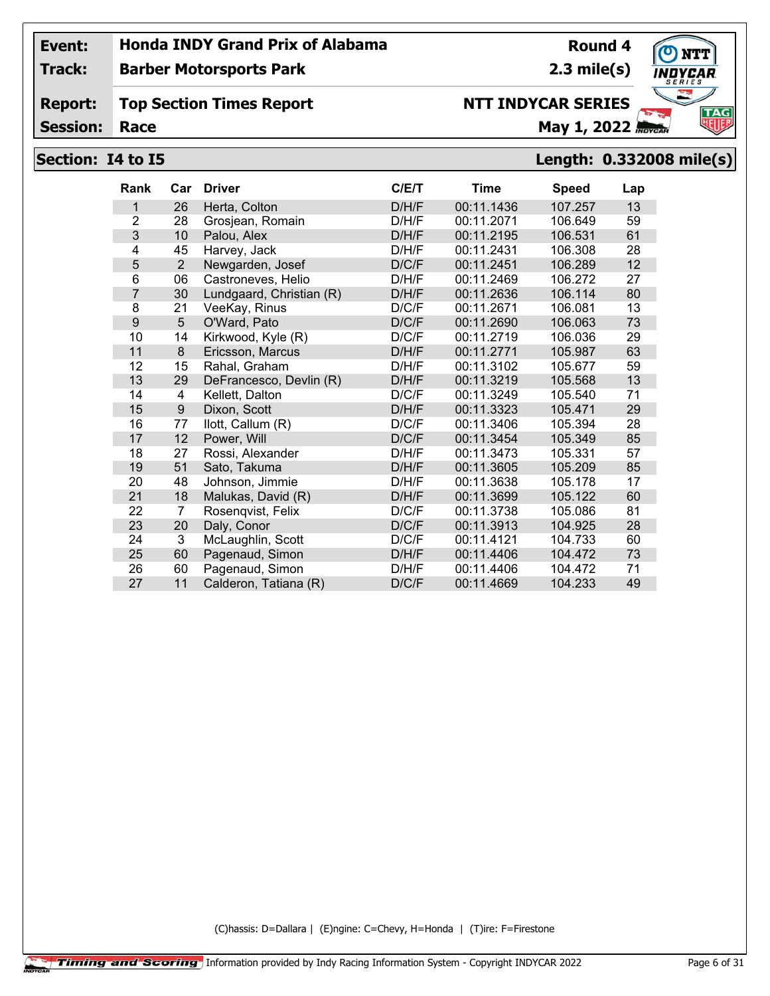**Track:**

**Barber Motorsports Park**

**Report: Top Section Times Report**

**Session:**

# **NTT INDYCAR SERIES**

**May 1, 2022** 

**Round 4 2.3 mile(s)**

# **Section: I4 to I5 Length: 0.332008 mile(s)**

| <b>Rank</b>    | Car | <b>Driver</b>            | C/E/T | <b>Time</b> | <b>Speed</b> | Lap |
|----------------|-----|--------------------------|-------|-------------|--------------|-----|
| 1              | 26  | Herta, Colton            | D/H/F | 00:11.1436  | 107.257      | 13  |
| $\overline{2}$ | 28  | Grosjean, Romain         | D/H/F | 00:11.2071  | 106.649      | 59  |
| 3              | 10  | Palou, Alex              | D/H/F | 00:11.2195  | 106.531      | 61  |
| 4              | 45  | Harvey, Jack             | D/H/F | 00:11.2431  | 106.308      | 28  |
| 5              | 2   | Newgarden, Josef         | D/C/F | 00:11.2451  | 106.289      | 12  |
| 6              | 06  | Castroneves, Helio       | D/H/F | 00:11.2469  | 106.272      | 27  |
| $\overline{7}$ | 30  | Lundgaard, Christian (R) | D/H/F | 00:11.2636  | 106.114      | 80  |
| 8              | 21  | VeeKay, Rinus            | D/C/F | 00:11.2671  | 106.081      | 13  |
| 9              | 5   | O'Ward, Pato             | D/C/F | 00:11.2690  | 106.063      | 73  |
| 10             | 14  | Kirkwood, Kyle (R)       | D/C/F | 00:11.2719  | 106.036      | 29  |
| 11             | 8   | Ericsson, Marcus         | D/H/F | 00:11.2771  | 105.987      | 63  |
| 12             | 15  | Rahal, Graham            | D/H/F | 00:11.3102  | 105.677      | 59  |
| 13             | 29  | DeFrancesco, Devlin (R)  | D/H/F | 00:11.3219  | 105.568      | 13  |
| 14             | 4   | Kellett, Dalton          | D/C/F | 00:11.3249  | 105.540      | 71  |
| 15             | 9   | Dixon, Scott             | D/H/F | 00:11.3323  | 105.471      | 29  |
| 16             | 77  | llott, Callum (R)        | D/C/F | 00:11.3406  | 105.394      | 28  |
| 17             | 12  | Power, Will              | D/C/F | 00:11.3454  | 105.349      | 85  |
| 18             | 27  | Rossi, Alexander         | D/H/F | 00:11.3473  | 105.331      | 57  |
| 19             | 51  | Sato, Takuma             | D/H/F | 00:11.3605  | 105.209      | 85  |
| 20             | 48  | Johnson, Jimmie          | D/H/F | 00:11.3638  | 105.178      | 17  |
| 21             | 18  | Malukas, David (R)       | D/H/F | 00:11.3699  | 105.122      | 60  |
| 22             | 7   | Rosenqvist, Felix        | D/C/F | 00:11.3738  | 105.086      | 81  |
| 23             | 20  | Daly, Conor              | D/C/F | 00:11.3913  | 104.925      | 28  |
| 24             | 3   | McLaughlin, Scott        | D/C/F | 00:11.4121  | 104.733      | 60  |
| 25             | 60  | Pagenaud, Simon          | D/H/F | 00:11.4406  | 104.472      | 73  |
| 26             | 60  | Pagenaud, Simon          | D/H/F | 00:11.4406  | 104.472      | 71  |
| 27             | 11  | Calderon, Tatiana (R)    | D/C/F | 00:11.4669  | 104.233      | 49  |



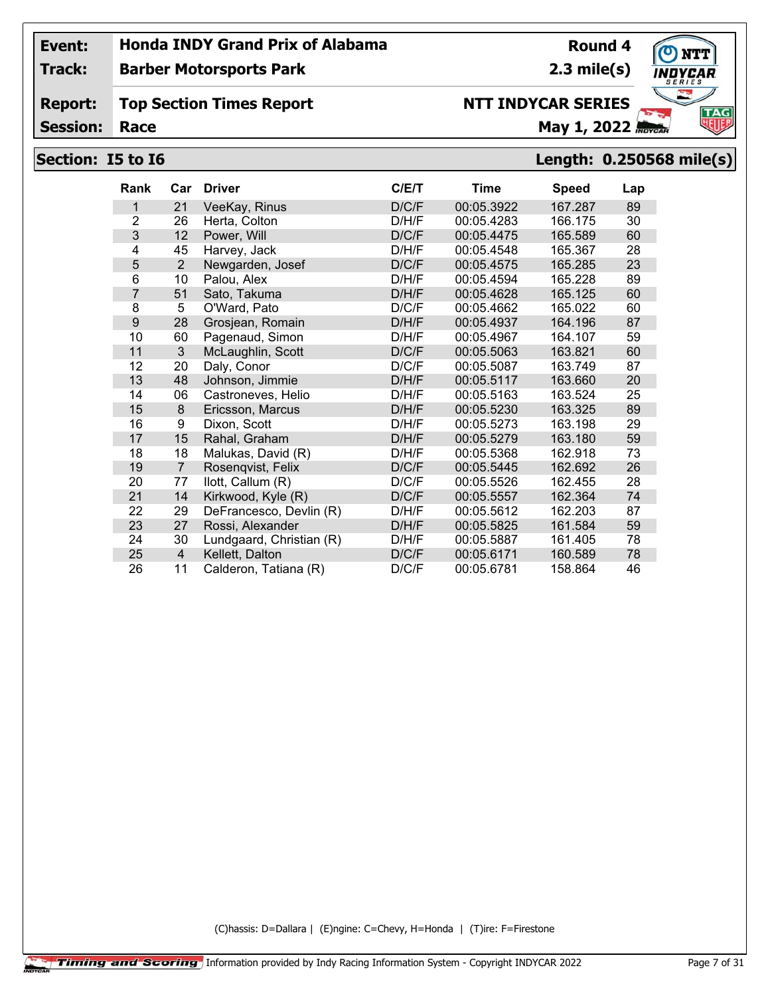**Track:**

**Barber Motorsports Park**

### **Report: Top Section Times Report**

**Session:**

# **NTT INDYCAR SERIES**

**May 1, 2022** 

# **Section: I5 to I6 Length: 0.250568 mile(s)**

| <b>Rank</b>    | Car            | <b>Driver</b>            | C/E/T | Time       | <b>Speed</b> | Lap |
|----------------|----------------|--------------------------|-------|------------|--------------|-----|
| 1              | 21             | VeeKay, Rinus            | D/C/F | 00:05.3922 | 167.287      | 89  |
| $\overline{2}$ | 26             | Herta, Colton            | D/H/F | 00:05.4283 | 166.175      | 30  |
| 3              | 12             | Power, Will              | D/C/F | 00:05.4475 | 165.589      | 60  |
| 4              | 45             | Harvey, Jack             | D/H/F | 00:05.4548 | 165.367      | 28  |
| 5              | 2              | Newgarden, Josef         | D/C/F | 00:05.4575 | 165.285      | 23  |
| 6              | 10             | Palou, Alex              | D/H/F | 00:05.4594 | 165.228      | 89  |
| $\overline{7}$ | 51             | Sato, Takuma             | D/H/F | 00:05.4628 | 165.125      | 60  |
| 8              | 5              | O'Ward, Pato             | D/C/F | 00:05.4662 | 165.022      | 60  |
| 9              | 28             | Grosjean, Romain         | D/H/F | 00:05.4937 | 164.196      | 87  |
| 10             | 60             | Pagenaud, Simon          | D/H/F | 00:05.4967 | 164.107      | 59  |
| 11             | 3              | McLaughlin, Scott        | D/C/F | 00:05.5063 | 163.821      | 60  |
| 12             | 20             | Daly, Conor              | D/C/F | 00:05.5087 | 163.749      | 87  |
| 13             | 48             | Johnson, Jimmie          | D/H/F | 00:05.5117 | 163.660      | 20  |
| 14             | 06             | Castroneves, Helio       | D/H/F | 00:05.5163 | 163.524      | 25  |
| 15             | 8              | Ericsson, Marcus         | D/H/F | 00:05.5230 | 163.325      | 89  |
| 16             | 9              | Dixon, Scott             | D/H/F | 00:05.5273 | 163.198      | 29  |
| 17             | 15             | Rahal, Graham            | D/H/F | 00:05.5279 | 163.180      | 59  |
| 18             | 18             | Malukas, David (R)       | D/H/F | 00:05.5368 | 162.918      | 73  |
| 19             | $\overline{7}$ | Rosenqvist, Felix        | D/C/F | 00:05.5445 | 162.692      | 26  |
| 20             | 77             | llott, Callum (R)        | D/C/F | 00:05.5526 | 162.455      | 28  |
| 21             | 14             | Kirkwood, Kyle (R)       | D/C/F | 00:05.5557 | 162.364      | 74  |
| 22             | 29             | DeFrancesco, Devlin (R)  | D/H/F | 00:05.5612 | 162.203      | 87  |
| 23             | 27             | Rossi, Alexander         | D/H/F | 00:05.5825 | 161.584      | 59  |
| 24             | 30             | Lundgaard, Christian (R) | D/H/F | 00:05.5887 | 161.405      | 78  |
| 25             | $\overline{4}$ | Kellett, Dalton          | D/C/F | 00:05.6171 | 160.589      | 78  |
| 26             | 11             | Calderon, Tatiana (R)    | D/C/F | 00:05.6781 | 158.864      | 46  |

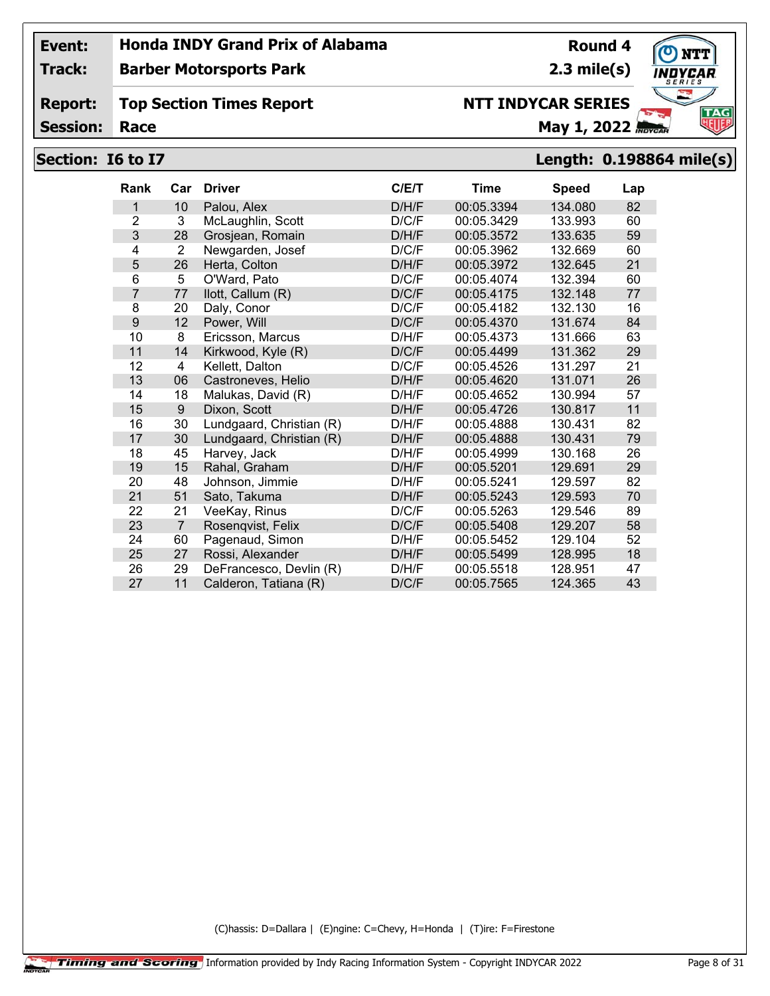**Track:**

**Barber Motorsports Park**

#### **Report: Top Section Times Report**

**Session:**

# **NTT INDYCAR SERIES**

**May 1, 2022** 

# **Section: I6 to I7 Length: 0.198864 mile(s)**

| <b>Rank</b>    | Car            | <b>Driver</b>            | C/E/T | <b>Time</b> | <b>Speed</b> | Lap |
|----------------|----------------|--------------------------|-------|-------------|--------------|-----|
| 1              | 10             | Palou, Alex              | D/H/F | 00:05.3394  | 134.080      | 82  |
| $\overline{2}$ | 3              | McLaughlin, Scott        | D/C/F | 00:05.3429  | 133.993      | 60  |
| 3              | 28             | Grosjean, Romain         | D/H/F | 00:05.3572  | 133.635      | 59  |
| 4              | 2              | Newgarden, Josef         | D/C/F | 00:05.3962  | 132.669      | 60  |
| 5              | 26             | Herta, Colton            | D/H/F | 00:05.3972  | 132.645      | 21  |
| 6              | 5              | O'Ward, Pato             | D/C/F | 00:05.4074  | 132.394      | 60  |
| 7              | 77             | llott, Callum (R)        | D/C/F | 00:05.4175  | 132.148      | 77  |
| 8              | 20             | Daly, Conor              | D/C/F | 00:05.4182  | 132.130      | 16  |
| 9              | 12             | Power, Will              | D/C/F | 00:05.4370  | 131.674      | 84  |
| 10             | 8              | Ericsson, Marcus         | D/H/F | 00:05.4373  | 131.666      | 63  |
| 11             | 14             | Kirkwood, Kyle (R)       | D/C/F | 00:05.4499  | 131.362      | 29  |
| 12             | 4              | Kellett, Dalton          | D/C/F | 00:05.4526  | 131.297      | 21  |
| 13             | 06             | Castroneves, Helio       | D/H/F | 00:05.4620  | 131.071      | 26  |
| 14             | 18             | Malukas, David (R)       | D/H/F | 00:05.4652  | 130.994      | 57  |
| 15             | 9              | Dixon, Scott             | D/H/F | 00:05.4726  | 130.817      | 11  |
| 16             | 30             | Lundgaard, Christian (R) | D/H/F | 00:05.4888  | 130.431      | 82  |
| 17             | 30             | Lundgaard, Christian (R) | D/H/F | 00:05.4888  | 130.431      | 79  |
| 18             | 45             | Harvey, Jack             | D/H/F | 00:05.4999  | 130.168      | 26  |
| 19             | 15             | Rahal, Graham            | D/H/F | 00:05.5201  | 129.691      | 29  |
| 20             | 48             | Johnson, Jimmie          | D/H/F | 00:05.5241  | 129.597      | 82  |
| 21             | 51             | Sato, Takuma             | D/H/F | 00:05.5243  | 129.593      | 70  |
| 22             | 21             | VeeKay, Rinus            | D/C/F | 00:05.5263  | 129.546      | 89  |
| 23             | $\overline{7}$ | Rosenqvist, Felix        | D/C/F | 00:05.5408  | 129.207      | 58  |
| 24             | 60             | Pagenaud, Simon          | D/H/F | 00:05.5452  | 129.104      | 52  |
| 25             | 27             | Rossi, Alexander         | D/H/F | 00:05.5499  | 128.995      | 18  |
| 26             | 29             | DeFrancesco, Devlin (R)  | D/H/F | 00:05.5518  | 128.951      | 47  |
| 27             | 11             | Calderon, Tatiana (R)    | D/C/F | 00:05.7565  | 124.365      | 43  |

(C)hassis: D=Dallara | (E)ngine: C=Chevy, H=Honda | (T)ire: F=Firestone

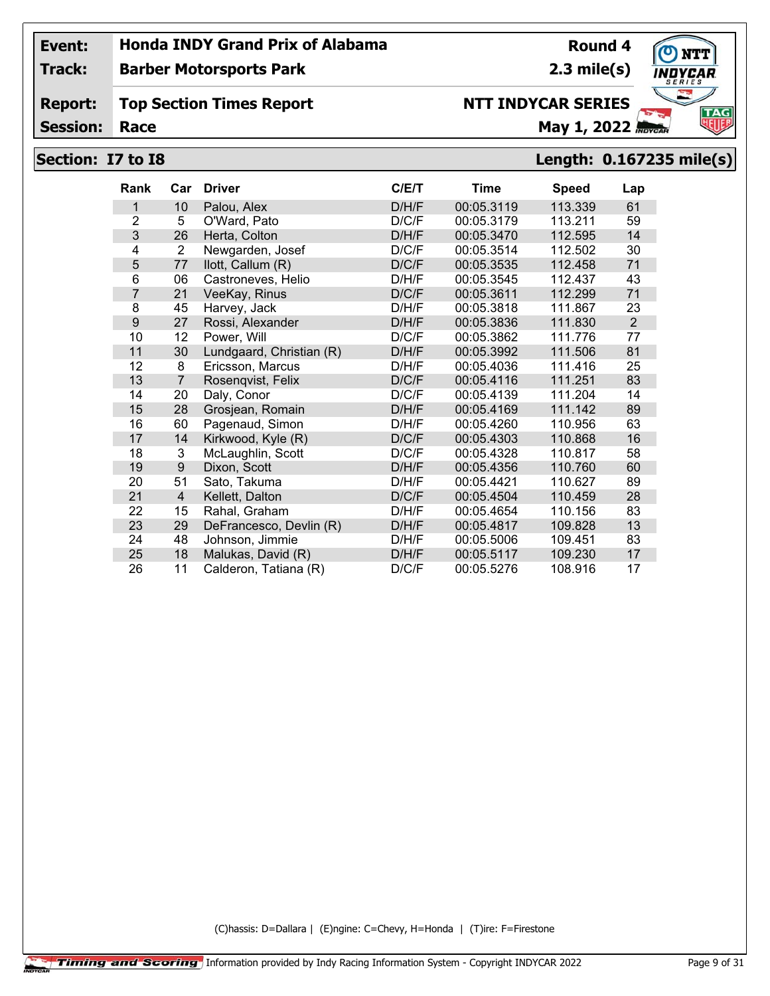**Track:**

## **Barber Motorsports Park**

#### **Report: Top Section Times Report**

**Session:**

# **NTT INDYCAR SERIES**

**May 1, 2022** 

## **Section: I7 to I8 Length: 0.167235 mile(s)**

| <b>Rank</b>    | Car            | <b>Driver</b>            | C/E/T | Time       | <b>Speed</b> | Lap |
|----------------|----------------|--------------------------|-------|------------|--------------|-----|
| 1              | 10             | Palou, Alex              | D/H/F | 00:05.3119 | 113.339      | 61  |
| $\overline{2}$ | 5              | O'Ward, Pato             | D/C/F | 00:05.3179 | 113.211      | 59  |
| 3              | 26             | Herta, Colton            | D/H/F | 00:05.3470 | 112.595      | 14  |
| 4              | 2              | Newgarden, Josef         | D/C/F | 00:05.3514 | 112.502      | 30  |
| 5              | 77             | llott, Callum (R)        | D/C/F | 00:05.3535 | 112.458      | 71  |
| 6              | 06             | Castroneves, Helio       | D/H/F | 00:05.3545 | 112.437      | 43  |
| $\overline{7}$ | 21             | VeeKay, Rinus            | D/C/F | 00:05.3611 | 112.299      | 71  |
| 8              | 45             | Harvey, Jack             | D/H/F | 00:05.3818 | 111.867      | 23  |
| 9              | 27             | Rossi, Alexander         | D/H/F | 00:05.3836 | 111.830      | 2   |
| 10             | 12             | Power, Will              | D/C/F | 00:05.3862 | 111.776      | 77  |
| 11             | 30             | Lundgaard, Christian (R) | D/H/F | 00:05.3992 | 111.506      | 81  |
| 12             | 8              | Ericsson, Marcus         | D/H/F | 00:05.4036 | 111.416      | 25  |
| 13             | $\overline{7}$ | Rosenqvist, Felix        | D/C/F | 00:05.4116 | 111.251      | 83  |
| 14             | 20             | Daly, Conor              | D/C/F | 00:05.4139 | 111.204      | 14  |
| 15             | 28             | Grosjean, Romain         | D/H/F | 00:05.4169 | 111.142      | 89  |
| 16             | 60             | Pagenaud, Simon          | D/H/F | 00:05.4260 | 110.956      | 63  |
| 17             | 14             | Kirkwood, Kyle (R)       | D/C/F | 00:05.4303 | 110.868      | 16  |
| 18             | 3              | McLaughlin, Scott        | D/C/F | 00:05.4328 | 110.817      | 58  |
| 19             | 9              | Dixon, Scott             | D/H/F | 00:05.4356 | 110.760      | 60  |
| 20             | 51             | Sato, Takuma             | D/H/F | 00:05.4421 | 110.627      | 89  |
| 21             | $\overline{4}$ | Kellett, Dalton          | D/C/F | 00:05.4504 | 110.459      | 28  |
| 22             | 15             | Rahal, Graham            | D/H/F | 00:05.4654 | 110.156      | 83  |
| 23             | 29             | DeFrancesco, Devlin (R)  | D/H/F | 00:05.4817 | 109.828      | 13  |
| 24             | 48             | Johnson, Jimmie          | D/H/F | 00:05.5006 | 109.451      | 83  |
| 25             | 18             | Malukas, David (R)       | D/H/F | 00:05.5117 | 109.230      | 17  |
| 26             | 11             | Calderon, Tatiana (R)    | D/C/F | 00:05.5276 | 108.916      | 17  |

(C)hassis: D=Dallara | (E)ngine: C=Chevy, H=Honda | (T)ire: F=Firestone

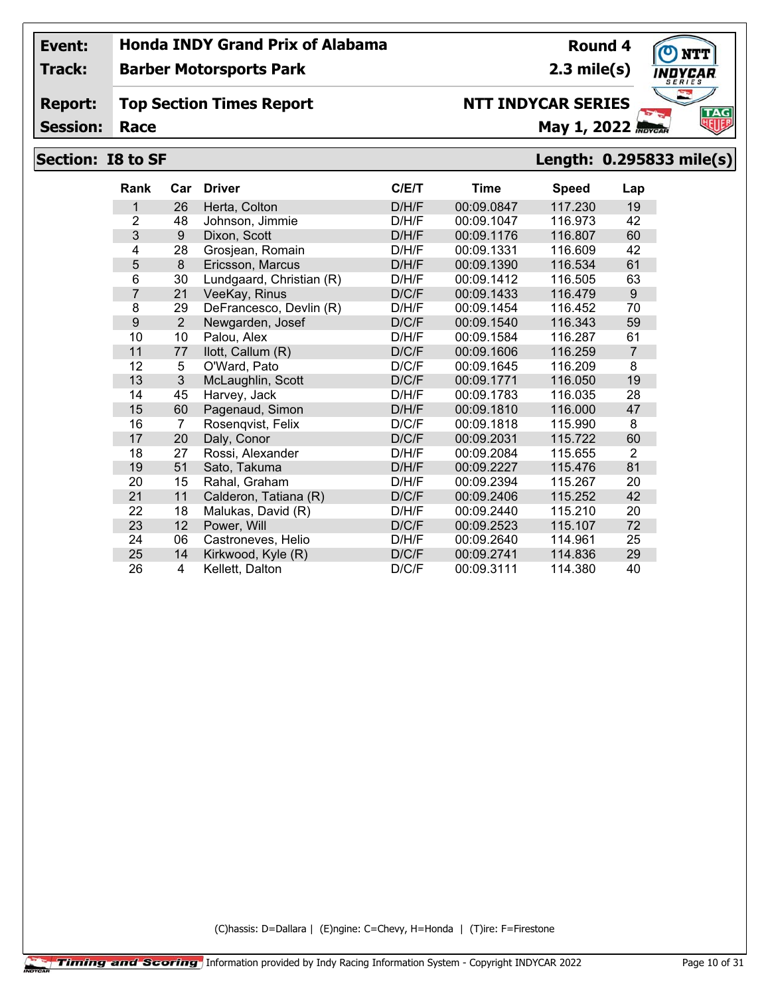**Track:**

## **Barber Motorsports Park**

#### **Report: Top Section Times Report**

**Session:**

# **NTT INDYCAR SERIES**

**May 1, 2022** 

# **Section: I8 to SF Length: 0.295833 mile(s)**

| <b>Rank</b>    | Car   | <b>Driver</b>            | C/ET  | Time       | <b>Speed</b> | Lap            |
|----------------|-------|--------------------------|-------|------------|--------------|----------------|
| 1              | 26    | Herta, Colton            | D/H/F | 00:09.0847 | 117.230      | 19             |
| $\overline{2}$ | 48    | Johnson, Jimmie          | D/H/F | 00:09.1047 | 116.973      | 42             |
| 3              | $9\,$ | Dixon, Scott             | D/H/F | 00:09.1176 | 116.807      | 60             |
| 4              | 28    | Grosjean, Romain         | D/H/F | 00:09.1331 | 116.609      | 42             |
| 5              | 8     | Ericsson, Marcus         | D/H/F | 00:09.1390 | 116.534      | 61             |
| 6              | 30    | Lundgaard, Christian (R) | D/H/F | 00:09.1412 | 116.505      | 63             |
| 7              | 21    | VeeKay, Rinus            | D/C/F | 00:09.1433 | 116.479      | 9              |
| 8              | 29    | DeFrancesco, Devlin (R)  | D/H/F | 00:09.1454 | 116.452      | 70             |
| 9              | 2     | Newgarden, Josef         | D/C/F | 00:09.1540 | 116.343      | 59             |
| 10             | 10    | Palou, Alex              | D/H/F | 00:09.1584 | 116.287      | 61             |
| 11             | 77    | llott, Callum (R)        | D/C/F | 00:09.1606 | 116.259      | $\overline{7}$ |
| 12             | 5     | O'Ward, Pato             | D/C/F | 00:09.1645 | 116.209      | 8              |
| 13             | 3     | McLaughlin, Scott        | D/C/F | 00:09.1771 | 116.050      | 19             |
| 14             | 45    | Harvey, Jack             | D/H/F | 00:09.1783 | 116.035      | 28             |
| 15             | 60    | Pagenaud, Simon          | D/H/F | 00:09.1810 | 116.000      | 47             |
| 16             | 7     | Rosenqvist, Felix        | D/C/F | 00:09.1818 | 115.990      | 8              |
| 17             | 20    | Daly, Conor              | D/C/F | 00:09.2031 | 115.722      | 60             |
| 18             | 27    | Rossi, Alexander         | D/H/F | 00:09.2084 | 115.655      | 2              |
| 19             | 51    | Sato, Takuma             | D/H/F | 00:09.2227 | 115.476      | 81             |
| 20             | 15    | Rahal, Graham            | D/H/F | 00:09.2394 | 115.267      | 20             |
| 21             | 11    | Calderon, Tatiana (R)    | D/C/F | 00:09.2406 | 115.252      | 42             |
| 22             | 18    | Malukas, David (R)       | D/H/F | 00:09.2440 | 115.210      | 20             |
| 23             | 12    | Power, Will              | D/C/F | 00:09.2523 | 115.107      | 72             |
| 24             | 06    | Castroneves, Helio       | D/H/F | 00:09.2640 | 114.961      | 25             |
| 25             | 14    | Kirkwood, Kyle (R)       | D/C/F | 00:09.2741 | 114.836      | 29             |
| 26             | 4     | Kellett, Dalton          | D/C/F | 00:09.3111 | 114.380      | 40             |

(C)hassis: D=Dallara | (E)ngine: C=Chevy, H=Honda | (T)ire: F=Firestone

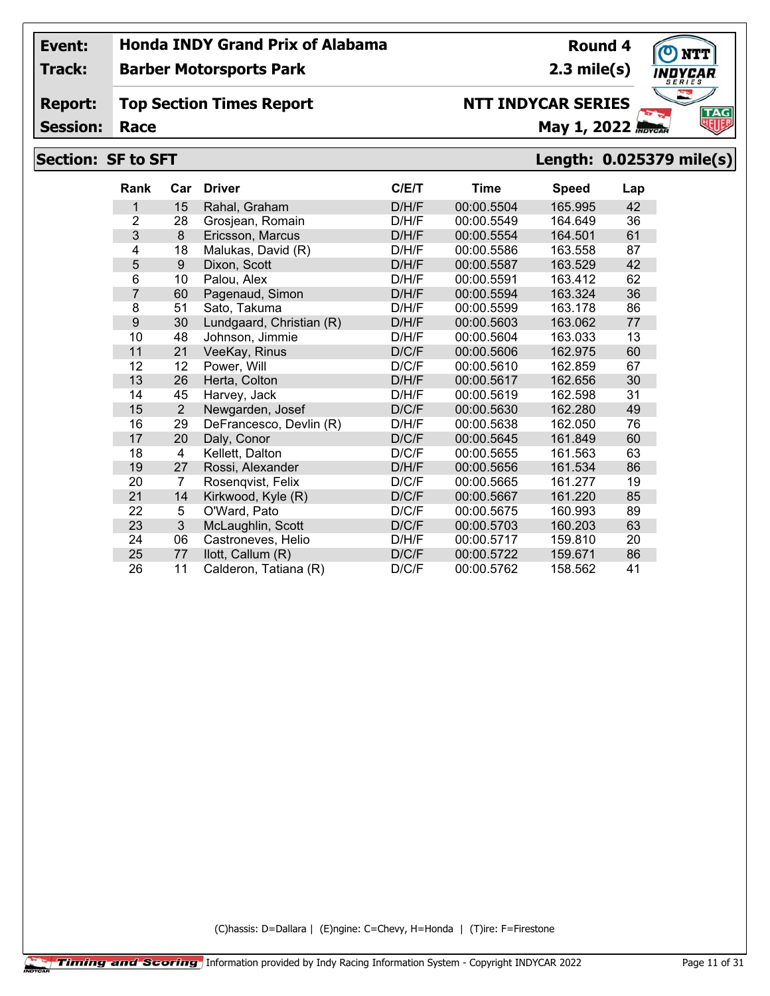**Track:**

## **Barber Motorsports Park**

#### **Report: Top Section Times Report**

**Session:**

# **NTT INDYCAR SERIES**

**Race May 1, 2022** *Rocal* **<b>May 1, 2022** *Royck***</mark></del>** 

**Round 4 2.3 mile(s)**

# **Section: SF to SFT Length: 0.025379 mile(s)**

| <b>Rank</b>    | Car            | <b>Driver</b>            | C/E/T | Time       | <b>Speed</b> | Lap |
|----------------|----------------|--------------------------|-------|------------|--------------|-----|
| 1              | 15             | Rahal, Graham            | D/H/F | 00:00.5504 | 165.995      | 42  |
| $\overline{2}$ | 28             | Grosjean, Romain         | D/H/F | 00:00.5549 | 164.649      | 36  |
| 3              | 8              | Ericsson, Marcus         | D/H/F | 00:00.5554 | 164.501      | 61  |
| 4              | 18             | Malukas, David (R)       | D/H/F | 00:00.5586 | 163.558      | 87  |
| 5              | 9              | Dixon, Scott             | D/H/F | 00:00.5587 | 163.529      | 42  |
| 6              | 10             | Palou, Alex              | D/H/F | 00:00.5591 | 163.412      | 62  |
| $\overline{7}$ | 60             | Pagenaud, Simon          | D/H/F | 00:00.5594 | 163.324      | 36  |
| 8              | 51             | Sato, Takuma             | D/H/F | 00:00.5599 | 163.178      | 86  |
| 9              | 30             | Lundgaard, Christian (R) | D/H/F | 00:00.5603 | 163.062      | 77  |
| 10             | 48             | Johnson, Jimmie          | D/H/F | 00:00.5604 | 163.033      | 13  |
| 11             | 21             | VeeKay, Rinus            | D/C/F | 00:00.5606 | 162.975      | 60  |
| 12             | 12             | Power, Will              | D/C/F | 00:00.5610 | 162.859      | 67  |
| 13             | 26             | Herta, Colton            | D/H/F | 00:00.5617 | 162.656      | 30  |
| 14             | 45             | Harvey, Jack             | D/H/F | 00:00.5619 | 162.598      | 31  |
| 15             | 2              | Newgarden, Josef         | D/C/F | 00:00.5630 | 162.280      | 49  |
| 16             | 29             | DeFrancesco, Devlin (R)  | D/H/F | 00:00.5638 | 162.050      | 76  |
| 17             | 20             | Daly, Conor              | D/C/F | 00:00.5645 | 161.849      | 60  |
| 18             | 4              | Kellett, Dalton          | D/C/F | 00:00.5655 | 161.563      | 63  |
| 19             | 27             | Rossi, Alexander         | D/H/F | 00:00.5656 | 161.534      | 86  |
| 20             | $\overline{7}$ | Rosengvist, Felix        | D/C/F | 00:00.5665 | 161.277      | 19  |
| 21             | 14             | Kirkwood, Kyle (R)       | D/C/F | 00:00.5667 | 161.220      | 85  |
| 22             | 5              | O'Ward, Pato             | D/C/F | 00:00.5675 | 160.993      | 89  |
| 23             | 3              | McLaughlin, Scott        | D/C/F | 00:00.5703 | 160.203      | 63  |
| 24             | 06             | Castroneves, Helio       | D/H/F | 00:00.5717 | 159.810      | 20  |
| 25             | 77             | llott, Callum (R)        | D/C/F | 00:00.5722 | 159.671      | 86  |
| 26             | 11             | Calderon, Tatiana (R)    | D/C/F | 00:00.5762 | 158.562      | 41  |

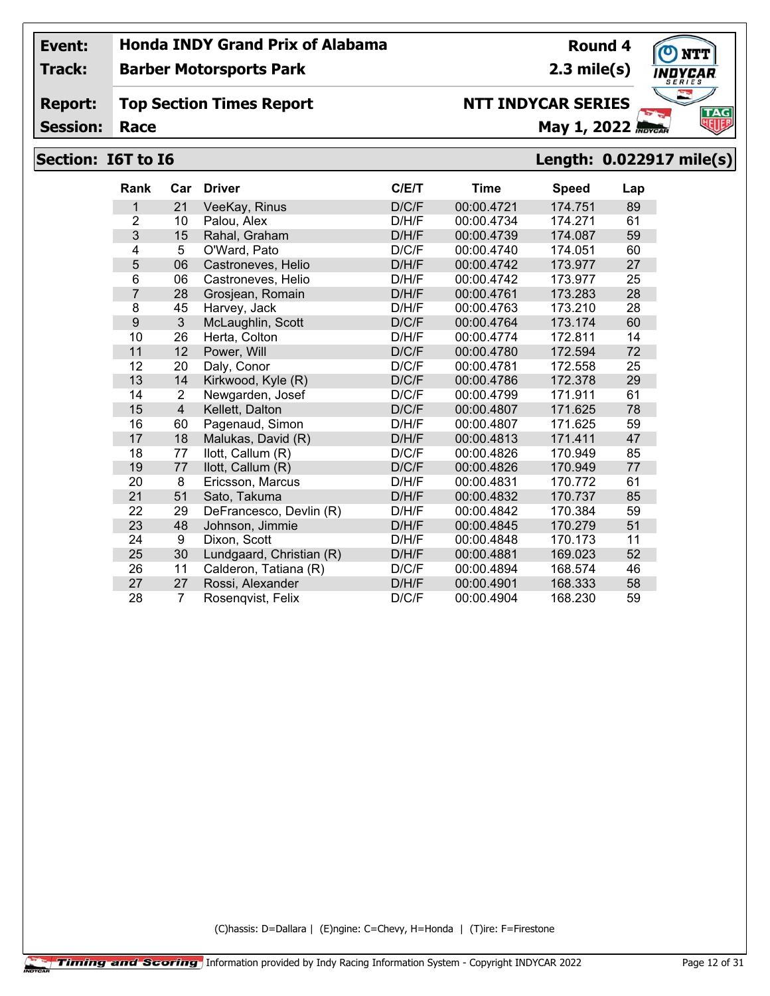**Track:**

**Barber Motorsports Park**

#### **Report: Top Section Times Report**

**Session:**

# **NTT INDYCAR SERIES**

**May 1, 2022** 

**Round 4 2.3 mile(s)**

## **Section: I6T to I6 Length: 0.022917 mile(s)**

| <b>Rank</b>    | Car            | <b>Driver</b>            | C/ET  | <b>Time</b> | <b>Speed</b> | Lap |
|----------------|----------------|--------------------------|-------|-------------|--------------|-----|
| 1              | 21             | VeeKay, Rinus            | D/C/F | 00:00.4721  | 174.751      | 89  |
| $\overline{2}$ | 10             | Palou, Alex              | D/H/F | 00:00.4734  | 174.271      | 61  |
| 3              | 15             | Rahal, Graham            | D/H/F | 00:00.4739  | 174.087      | 59  |
| 4              | 5              | O'Ward, Pato             | D/C/F | 00:00.4740  | 174.051      | 60  |
| 5              | 06             | Castroneves, Helio       | D/H/F | 00:00.4742  | 173.977      | 27  |
| 6              | 06             | Castroneves, Helio       | D/H/F | 00:00.4742  | 173.977      | 25  |
| $\overline{7}$ | 28             | Grosjean, Romain         | D/H/F | 00:00.4761  | 173.283      | 28  |
| 8              | 45             | Harvey, Jack             | D/H/F | 00:00.4763  | 173.210      | 28  |
| 9              | 3              | McLaughlin, Scott        | D/C/F | 00:00.4764  | 173.174      | 60  |
| 10             | 26             | Herta, Colton            | D/H/F | 00:00.4774  | 172.811      | 14  |
| 11             | 12             | Power, Will              | D/C/F | 00:00.4780  | 172.594      | 72  |
| 12             | 20             | Daly, Conor              | D/C/F | 00:00.4781  | 172.558      | 25  |
| 13             | 14             | Kirkwood, Kyle (R)       | D/C/F | 00:00.4786  | 172.378      | 29  |
| 14             | $\overline{2}$ | Newgarden, Josef         | D/C/F | 00:00.4799  | 171.911      | 61  |
| 15             | $\overline{4}$ | Kellett, Dalton          | D/C/F | 00:00.4807  | 171.625      | 78  |
| 16             | 60             | Pagenaud, Simon          | D/H/F | 00:00.4807  | 171.625      | 59  |
| 17             | 18             | Malukas, David (R)       | D/H/F | 00:00.4813  | 171.411      | 47  |
| 18             | 77             | llott, Callum (R)        | D/C/F | 00:00.4826  | 170.949      | 85  |
| 19             | 77             | llott, Callum (R)        | D/C/F | 00:00.4826  | 170.949      | 77  |
| 20             | 8              | Ericsson, Marcus         | D/H/F | 00:00.4831  | 170.772      | 61  |
| 21             | 51             | Sato, Takuma             | D/H/F | 00:00.4832  | 170.737      | 85  |
| 22             | 29             | DeFrancesco, Devlin (R)  | D/H/F | 00:00.4842  | 170.384      | 59  |
| 23             | 48             | Johnson, Jimmie          | D/H/F | 00:00.4845  | 170.279      | 51  |
| 24             | 9              | Dixon, Scott             | D/H/F | 00:00.4848  | 170.173      | 11  |
| 25             | 30             | Lundgaard, Christian (R) | D/H/F | 00:00.4881  | 169.023      | 52  |
| 26             | 11             | Calderon, Tatiana (R)    | D/C/F | 00:00.4894  | 168.574      | 46  |
| 27             | 27             | Rossi, Alexander         | D/H/F | 00:00.4901  | 168.333      | 58  |
| 28             | $\overline{7}$ | Rosengvist, Felix        | D/C/F | 00:00.4904  | 168.230      | 59  |

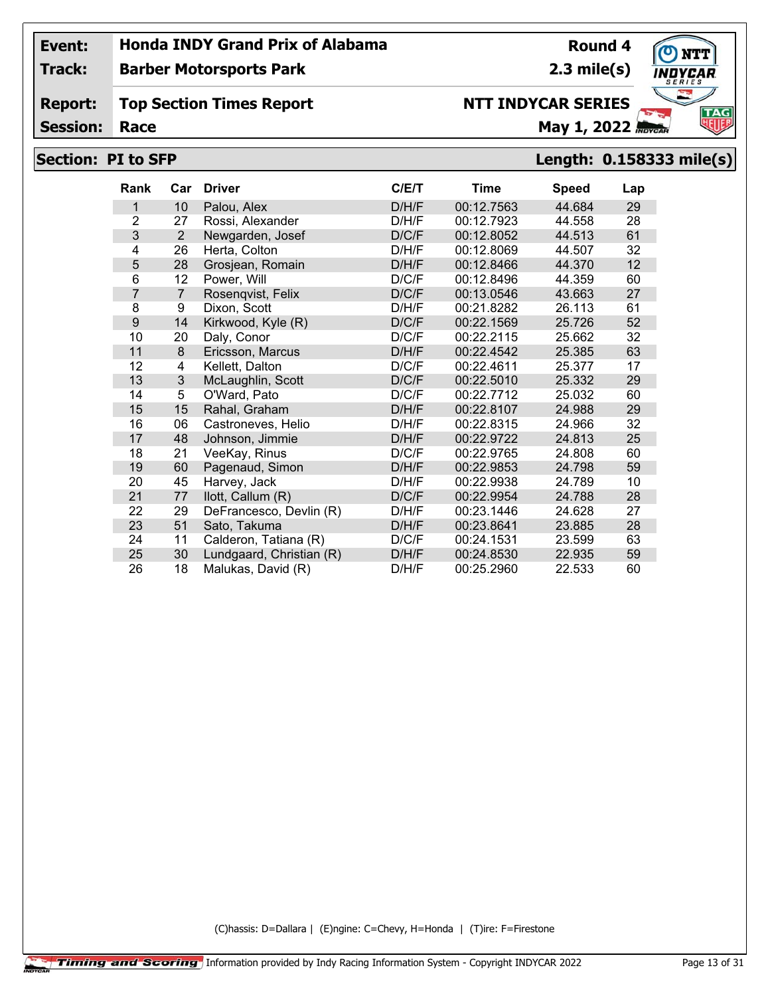**Track:**

**Barber Motorsports Park**

### **Report: Top Section Times Report**

**Session:**

# **NTT INDYCAR SERIES**

**Race May 1, 2022** *Roycas* **<b>May 1, 2022** *Roycas*

**Round 4 2.3 mile(s)**

# **Section: PI to SFP Length: 0.158333 mile(s)**

| Rank           | Car            | <b>Driver</b>            | C/E/T | Time       | <b>Speed</b> | Lap |
|----------------|----------------|--------------------------|-------|------------|--------------|-----|
| 1              | 10             | Palou, Alex              | D/H/F | 00:12.7563 | 44.684       | 29  |
| $\overline{2}$ | 27             | Rossi, Alexander         | D/H/F | 00:12.7923 | 44.558       | 28  |
| 3              | $\overline{2}$ | Newgarden, Josef         | D/C/F | 00:12.8052 | 44.513       | 61  |
| 4              | 26             | Herta, Colton            | D/H/F | 00:12.8069 | 44.507       | 32  |
| 5              | 28             | Grosjean, Romain         | D/H/F | 00:12.8466 | 44.370       | 12  |
| 6              | 12             | Power, Will              | D/C/F | 00:12.8496 | 44.359       | 60  |
| 7              | $\overline{7}$ | Rosenqvist, Felix        | D/C/F | 00:13.0546 | 43.663       | 27  |
| 8              | 9              | Dixon, Scott             | D/H/F | 00:21.8282 | 26.113       | 61  |
| 9              | 14             | Kirkwood, Kyle (R)       | D/C/F | 00:22.1569 | 25.726       | 52  |
| 10             | 20             | Daly, Conor              | D/C/F | 00:22.2115 | 25.662       | 32  |
| 11             | 8              | Ericsson, Marcus         | D/H/F | 00:22.4542 | 25.385       | 63  |
| 12             | 4              | Kellett, Dalton          | D/C/F | 00:22.4611 | 25.377       | 17  |
| 13             | 3              | McLaughlin, Scott        | D/C/F | 00:22.5010 | 25.332       | 29  |
| 14             | 5              | O'Ward, Pato             | D/C/F | 00:22.7712 | 25.032       | 60  |
| 15             | 15             | Rahal, Graham            | D/H/F | 00:22.8107 | 24.988       | 29  |
| 16             | 06             | Castroneves, Helio       | D/H/F | 00:22.8315 | 24.966       | 32  |
| 17             | 48             | Johnson, Jimmie          | D/H/F | 00:22.9722 | 24.813       | 25  |
| 18             | 21             | VeeKay, Rinus            | D/C/F | 00:22.9765 | 24.808       | 60  |
| 19             | 60             | Pagenaud, Simon          | D/H/F | 00:22.9853 | 24.798       | 59  |
| 20             | 45             | Harvey, Jack             | D/H/F | 00:22.9938 | 24.789       | 10  |
| 21             | 77             | llott, Callum (R)        | D/C/F | 00:22.9954 | 24.788       | 28  |
| 22             | 29             | DeFrancesco, Devlin (R)  | D/H/F | 00:23.1446 | 24.628       | 27  |
| 23             | 51             | Sato, Takuma             | D/H/F | 00:23.8641 | 23.885       | 28  |
| 24             | 11             | Calderon, Tatiana (R)    | D/C/F | 00:24.1531 | 23.599       | 63  |
| 25             | 30             | Lundgaard, Christian (R) | D/H/F | 00:24.8530 | 22.935       | 59  |
| 26             | 18             | Malukas, David (R)       | D/H/F | 00:25.2960 | 22.533       | 60  |

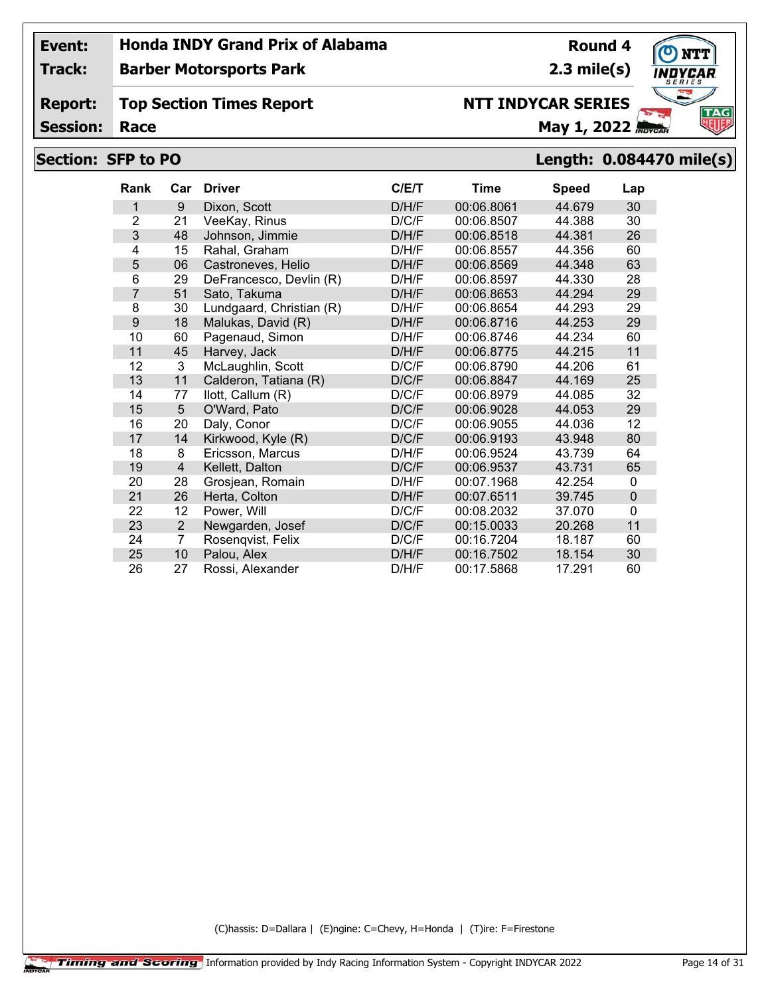**Track:**

## **Barber Motorsports Park**

#### **Report: Top Section Times Report**

**Session:**

# **Section: SFP to PO Length: 0.084470 mile(s)**

| <b>Rank</b>    | Car            | <b>Driver</b>            | C/E/T | <b>Time</b> | <b>Speed</b> | Lap              |
|----------------|----------------|--------------------------|-------|-------------|--------------|------------------|
| 1              | 9              | Dixon, Scott             | D/H/F | 00:06.8061  | 44.679       | 30               |
| $\overline{2}$ | 21             | VeeKay, Rinus            | D/C/F | 00:06.8507  | 44.388       | 30               |
| 3              | 48             | Johnson, Jimmie          | D/H/F | 00:06.8518  | 44.381       | 26               |
| 4              | 15             | Rahal, Graham            | D/H/F | 00:06.8557  | 44.356       | 60               |
| 5              | 06             | Castroneves, Helio       | D/H/F | 00:06.8569  | 44.348       | 63               |
| 6              | 29             | DeFrancesco, Devlin (R)  | D/H/F | 00:06.8597  | 44.330       | 28               |
| $\overline{7}$ | 51             | Sato, Takuma             | D/H/F | 00:06.8653  | 44.294       | 29               |
| 8              | 30             | Lundgaard, Christian (R) | D/H/F | 00:06.8654  | 44.293       | 29               |
| 9              | 18             | Malukas, David (R)       | D/H/F | 00:06.8716  | 44.253       | 29               |
| 10             | 60             | Pagenaud, Simon          | D/H/F | 00:06.8746  | 44.234       | 60               |
| 11             | 45             | Harvey, Jack             | D/H/F | 00:06.8775  | 44.215       | 11               |
| 12             | 3              | McLaughlin, Scott        | D/C/F | 00:06.8790  | 44.206       | 61               |
| 13             | 11             | Calderon, Tatiana (R)    | D/C/F | 00:06.8847  | 44.169       | 25               |
| 14             | 77             | llott, Callum (R)        | D/C/F | 00:06.8979  | 44.085       | 32               |
| 15             | 5              | O'Ward, Pato             | D/C/F | 00:06.9028  | 44.053       | 29               |
| 16             | 20             | Daly, Conor              | D/C/F | 00:06.9055  | 44.036       | 12               |
| 17             | 14             | Kirkwood, Kyle (R)       | D/C/F | 00:06.9193  | 43.948       | 80               |
| 18             | 8              | Ericsson, Marcus         | D/H/F | 00:06.9524  | 43.739       | 64               |
| 19             | $\overline{4}$ | Kellett, Dalton          | D/C/F | 00:06.9537  | 43.731       | 65               |
| 20             | 28             | Grosjean, Romain         | D/H/F | 00:07.1968  | 42.254       | $\mathbf{0}$     |
| 21             | 26             | Herta, Colton            | D/H/F | 00:07.6511  | 39.745       | $\boldsymbol{0}$ |
| 22             | 12             | Power, Will              | D/C/F | 00:08.2032  | 37.070       | $\mathbf{0}$     |
| 23             | $\overline{2}$ | Newgarden, Josef         | D/C/F | 00:15.0033  | 20.268       | 11               |
| 24             | $\overline{7}$ | Rosenqvist, Felix        | D/C/F | 00:16.7204  | 18.187       | 60               |
| 25             | 10             | Palou, Alex              | D/H/F | 00:16.7502  | 18.154       | 30               |
| 26             | 27             | Rossi, Alexander         | D/H/F | 00:17.5868  | 17.291       | 60               |

(C)hassis: D=Dallara | (E)ngine: C=Chevy, H=Honda | (T)ire: F=Firestone



**Round 4 2.3 mile(s)**

**Race May 1, 2022** *Rocal* **<b>May 1, 2022** *Royck***</mark></del>** 

**NTT INDYCAR SERIES**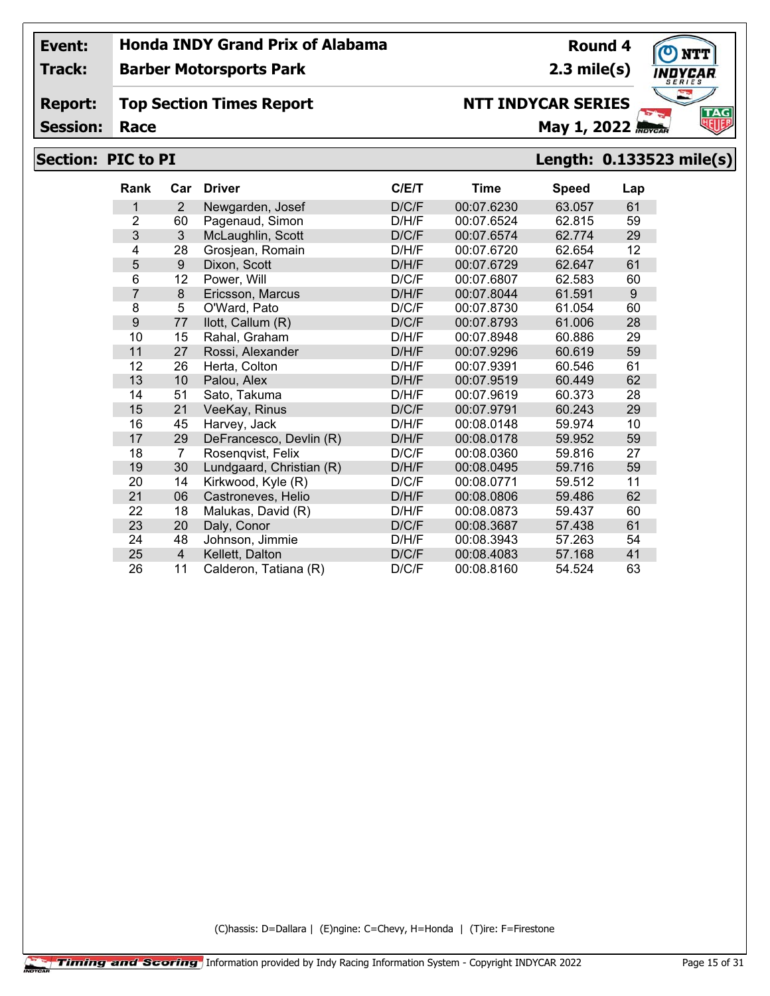**Track:**

**Barber Motorsports Park**

### **Report: Top Section Times Report**

**Session:**

# **NTT INDYCAR SERIES**

**Race May 1, 2022** *Rocal* **<b>May 1, 2022** *Royck***</mark></del>** 

**Round 4 2.3 mile(s)**

# **Section: PIC to PI Length: 0.133523 mile(s)**

| <b>Rank</b>      | Car            | <b>Driver</b>            | C/ET  | Time       | <b>Speed</b> | Lap |
|------------------|----------------|--------------------------|-------|------------|--------------|-----|
| 1                | $\overline{2}$ | Newgarden, Josef         | D/C/F | 00:07.6230 | 63.057       | 61  |
| $\overline{2}$   | 60             | Pagenaud, Simon          | D/H/F | 00:07.6524 | 62.815       | 59  |
| 3                | 3              | McLaughlin, Scott        | D/C/F | 00:07.6574 | 62.774       | 29  |
| 4                | 28             | Grosjean, Romain         | D/H/F | 00:07.6720 | 62.654       | 12  |
| 5                | 9              | Dixon, Scott             | D/H/F | 00:07.6729 | 62.647       | 61  |
| 6                | 12             | Power, Will              | D/C/F | 00:07.6807 | 62.583       | 60  |
| $\overline{7}$   | 8              | Ericsson, Marcus         | D/H/F | 00:07.8044 | 61.591       | 9   |
| 8                | 5              | O'Ward, Pato             | D/C/F | 00:07.8730 | 61.054       | 60  |
| $\boldsymbol{9}$ | 77             | llott, Callum (R)        | D/C/F | 00:07.8793 | 61.006       | 28  |
| 10               | 15             | Rahal, Graham            | D/H/F | 00:07.8948 | 60.886       | 29  |
| 11               | 27             | Rossi, Alexander         | D/H/F | 00:07.9296 | 60.619       | 59  |
| 12               | 26             | Herta, Colton            | D/H/F | 00:07.9391 | 60.546       | 61  |
| 13               | 10             | Palou, Alex              | D/H/F | 00:07.9519 | 60.449       | 62  |
| 14               | 51             | Sato. Takuma             | D/H/F | 00:07.9619 | 60.373       | 28  |
| 15               | 21             | VeeKay, Rinus            | D/C/F | 00:07.9791 | 60.243       | 29  |
| 16               | 45             | Harvey, Jack             | D/H/F | 00:08.0148 | 59.974       | 10  |
| 17               | 29             | DeFrancesco, Devlin (R)  | D/H/F | 00:08.0178 | 59.952       | 59  |
| 18               | 7              | Rosenqvist, Felix        | D/C/F | 00:08.0360 | 59.816       | 27  |
| 19               | 30             | Lundgaard, Christian (R) | D/H/F | 00:08.0495 | 59.716       | 59  |
| 20               | 14             | Kirkwood, Kyle (R)       | D/C/F | 00:08.0771 | 59.512       | 11  |
| 21               | 06             | Castroneves, Helio       | D/H/F | 00:08.0806 | 59.486       | 62  |
| 22               | 18             | Malukas, David (R)       | D/H/F | 00:08.0873 | 59.437       | 60  |
| 23               | 20             | Daly, Conor              | D/C/F | 00:08.3687 | 57.438       | 61  |
| 24               | 48             | Johnson, Jimmie          | D/H/F | 00:08.3943 | 57.263       | 54  |
| 25               | $\overline{4}$ | Kellett, Dalton          | D/C/F | 00:08.4083 | 57.168       | 41  |
| 26               | 11             | Calderon, Tatiana (R)    | D/C/F | 00:08.8160 | 54.524       | 63  |

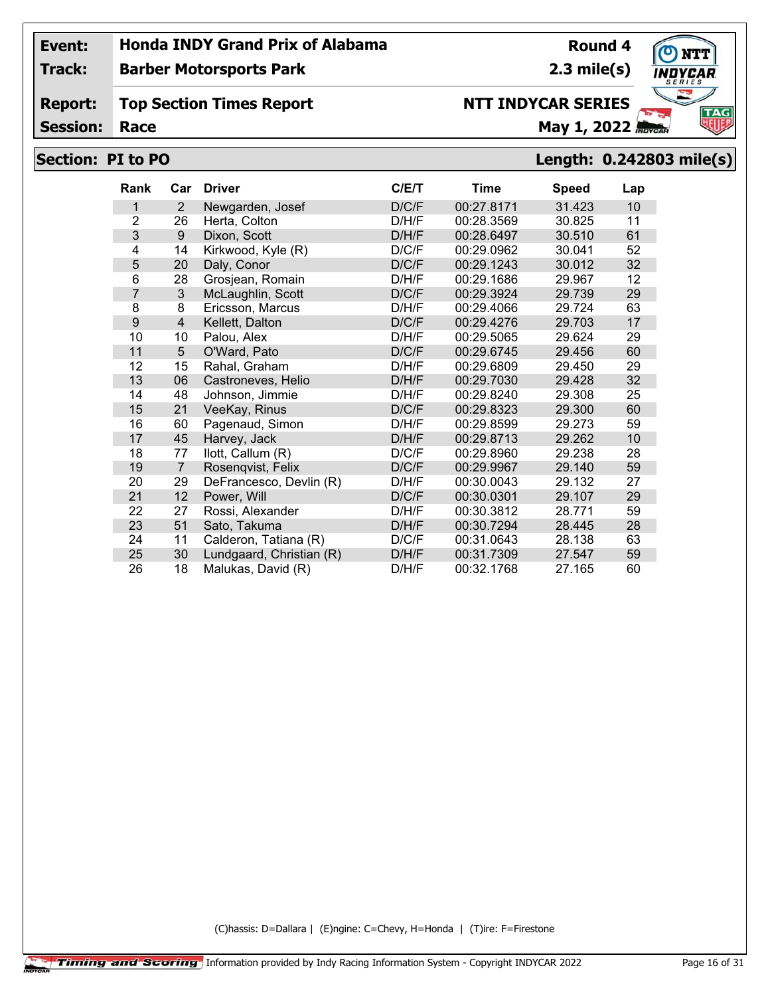**Track:**

## **Barber Motorsports Park**

#### **Report: Top Section Times Report**

**Session:**

# **NTT INDYCAR SERIES**

**Race May 1, 2022** *Rocal* **<b>May 1, 2022** *Royck***</mark></del>** 

**Round 4 2.3 mile(s)**

# **Section: PI to PO Length: 0.242803 mile(s)**

| <b>Rank</b>    | Car            | <b>Driver</b>            | C/E/T | <b>Time</b> | <b>Speed</b> | Lap |
|----------------|----------------|--------------------------|-------|-------------|--------------|-----|
| 1              | $\overline{2}$ | Newgarden, Josef         | D/C/F | 00:27.8171  | 31.423       | 10  |
| 2              | 26             | Herta, Colton            | D/H/F | 00:28.3569  | 30.825       | 11  |
| 3              | 9              | Dixon, Scott             | D/H/F | 00:28.6497  | 30.510       | 61  |
| 4              | 14             | Kirkwood, Kyle (R)       | D/C/F | 00:29.0962  | 30.041       | 52  |
| 5              | 20             | Daly, Conor              | D/C/F | 00:29.1243  | 30.012       | 32  |
| 6              | 28             | Grosjean, Romain         | D/H/F | 00:29.1686  | 29.967       | 12  |
| $\overline{7}$ | 3              | McLaughlin, Scott        | D/C/F | 00:29.3924  | 29.739       | 29  |
| 8              | 8              | Ericsson, Marcus         | D/H/F | 00:29.4066  | 29.724       | 63  |
| 9              | $\overline{4}$ | Kellett, Dalton          | D/C/F | 00:29.4276  | 29.703       | 17  |
| 10             | 10             | Palou, Alex              | D/H/F | 00:29.5065  | 29.624       | 29  |
| 11             | 5              | O'Ward, Pato             | D/C/F | 00:29.6745  | 29.456       | 60  |
| 12             | 15             | Rahal, Graham            | D/H/F | 00:29.6809  | 29.450       | 29  |
| 13             | 06             | Castroneves, Helio       | D/H/F | 00:29.7030  | 29.428       | 32  |
| 14             | 48             | Johnson, Jimmie          | D/H/F | 00:29.8240  | 29.308       | 25  |
| 15             | 21             | VeeKay, Rinus            | D/C/F | 00:29.8323  | 29.300       | 60  |
| 16             | 60             | Pagenaud, Simon          | D/H/F | 00:29.8599  | 29.273       | 59  |
| 17             | 45             | Harvey, Jack             | D/H/F | 00:29.8713  | 29.262       | 10  |
| 18             | 77             | llott, Callum (R)        | D/C/F | 00:29.8960  | 29.238       | 28  |
| 19             | $\overline{7}$ | Rosenqvist, Felix        | D/C/F | 00:29.9967  | 29.140       | 59  |
| 20             | 29             | DeFrancesco, Devlin (R)  | D/H/F | 00:30.0043  | 29.132       | 27  |
| 21             | 12             | Power, Will              | D/C/F | 00:30.0301  | 29.107       | 29  |
| 22             | 27             | Rossi, Alexander         | D/H/F | 00:30.3812  | 28.771       | 59  |
| 23             | 51             | Sato, Takuma             | D/H/F | 00:30.7294  | 28.445       | 28  |
| 24             | 11             | Calderon, Tatiana (R)    | D/C/F | 00:31.0643  | 28.138       | 63  |
| 25             | 30             | Lundgaard, Christian (R) | D/H/F | 00:31.7309  | 27.547       | 59  |
| 26             | 18             | Malukas, David (R)       | D/H/F | 00:32.1768  | 27.165       | 60  |

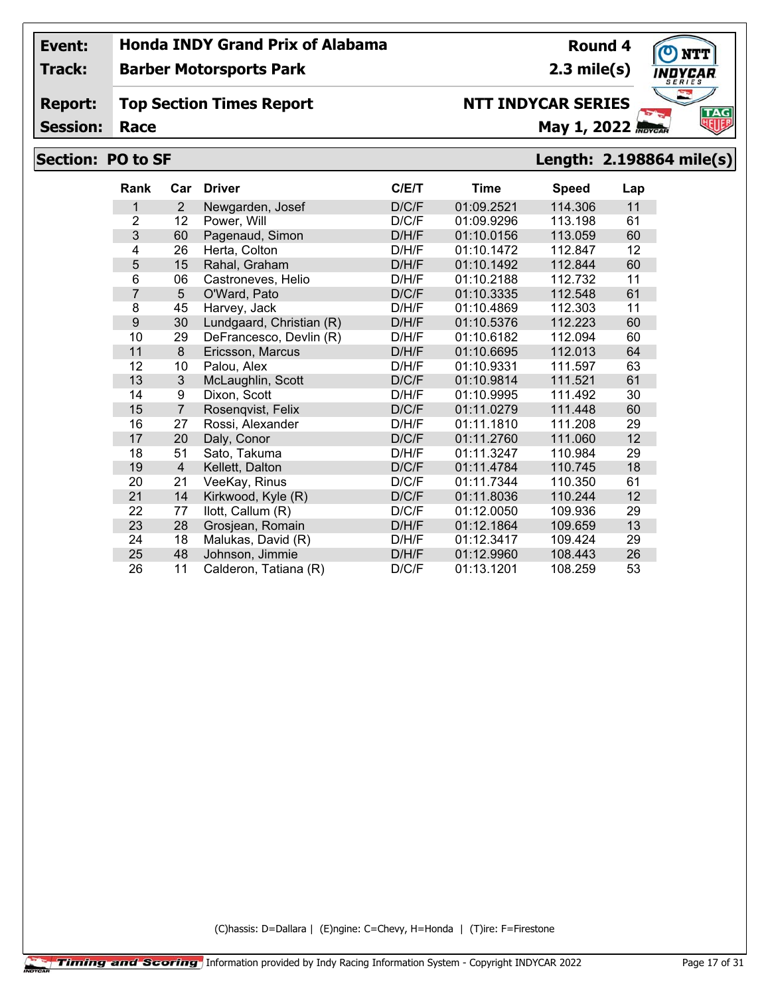**Track:**

## **Barber Motorsports Park**

#### **Report: Top Section Times Report**

**Session:**

# **NTT INDYCAR SERIES**

**May 1, 2022** 

# **Section: PO to SF Length: 2.198864 mile(s)**

| Rank           | Car            | <b>Driver</b>            | C/E/T | Time       | <b>Speed</b> | Lap |
|----------------|----------------|--------------------------|-------|------------|--------------|-----|
| 1              | $\overline{2}$ | Newgarden, Josef         | D/C/F | 01:09.2521 | 114.306      | 11  |
| $\overline{2}$ | 12             | Power, Will              | D/C/F | 01:09.9296 | 113.198      | 61  |
| 3              | 60             | Pagenaud, Simon          | D/H/F | 01:10.0156 | 113.059      | 60  |
| 4              | 26             | Herta, Colton            | D/H/F | 01:10.1472 | 112.847      | 12  |
| 5              | 15             | Rahal, Graham            | D/H/F | 01:10.1492 | 112.844      | 60  |
| 6              | 06             | Castroneves, Helio       | D/H/F | 01:10.2188 | 112.732      | 11  |
| $\overline{7}$ | 5              | O'Ward, Pato             | D/C/F | 01:10.3335 | 112.548      | 61  |
| 8              | 45             | Harvey, Jack             | D/H/F | 01:10.4869 | 112.303      | 11  |
| 9              | 30             | Lundgaard, Christian (R) | D/H/F | 01:10.5376 | 112.223      | 60  |
| 10             | 29             | DeFrancesco, Devlin (R)  | D/H/F | 01:10.6182 | 112.094      | 60  |
| 11             | 8              | Ericsson, Marcus         | D/H/F | 01:10.6695 | 112.013      | 64  |
| 12             | 10             | Palou, Alex              | D/H/F | 01:10.9331 | 111.597      | 63  |
| 13             | 3              | McLaughlin, Scott        | D/C/F | 01:10.9814 | 111.521      | 61  |
| 14             | 9              | Dixon, Scott             | D/H/F | 01:10.9995 | 111.492      | 30  |
| 15             | $\overline{7}$ | Rosenqvist, Felix        | D/C/F | 01:11.0279 | 111.448      | 60  |
| 16             | 27             | Rossi, Alexander         | D/H/F | 01:11.1810 | 111.208      | 29  |
| 17             | 20             | Daly, Conor              | D/C/F | 01:11.2760 | 111.060      | 12  |
| 18             | 51             | Sato, Takuma             | D/H/F | 01:11.3247 | 110.984      | 29  |
| 19             | $\overline{4}$ | Kellett, Dalton          | D/C/F | 01:11.4784 | 110.745      | 18  |
| 20             | 21             | VeeKay, Rinus            | D/C/F | 01:11.7344 | 110.350      | 61  |
| 21             | 14             | Kirkwood, Kyle (R)       | D/C/F | 01:11.8036 | 110.244      | 12  |
| 22             | 77             | llott, Callum (R)        | D/C/F | 01:12.0050 | 109.936      | 29  |
| 23             | 28             | Grosjean, Romain         | D/H/F | 01:12.1864 | 109.659      | 13  |
| 24             | 18             | Malukas, David (R)       | D/H/F | 01:12.3417 | 109.424      | 29  |
| 25             | 48             | Johnson, Jimmie          | D/H/F | 01:12.9960 | 108.443      | 26  |
| 26             | 11             | Calderon, Tatiana (R)    | D/C/F | 01:13.1201 | 108.259      | 53  |

(C)hassis: D=Dallara | (E)ngine: C=Chevy, H=Honda | (T)ire: F=Firestone



**Round 4**

**2.3 mile(s)**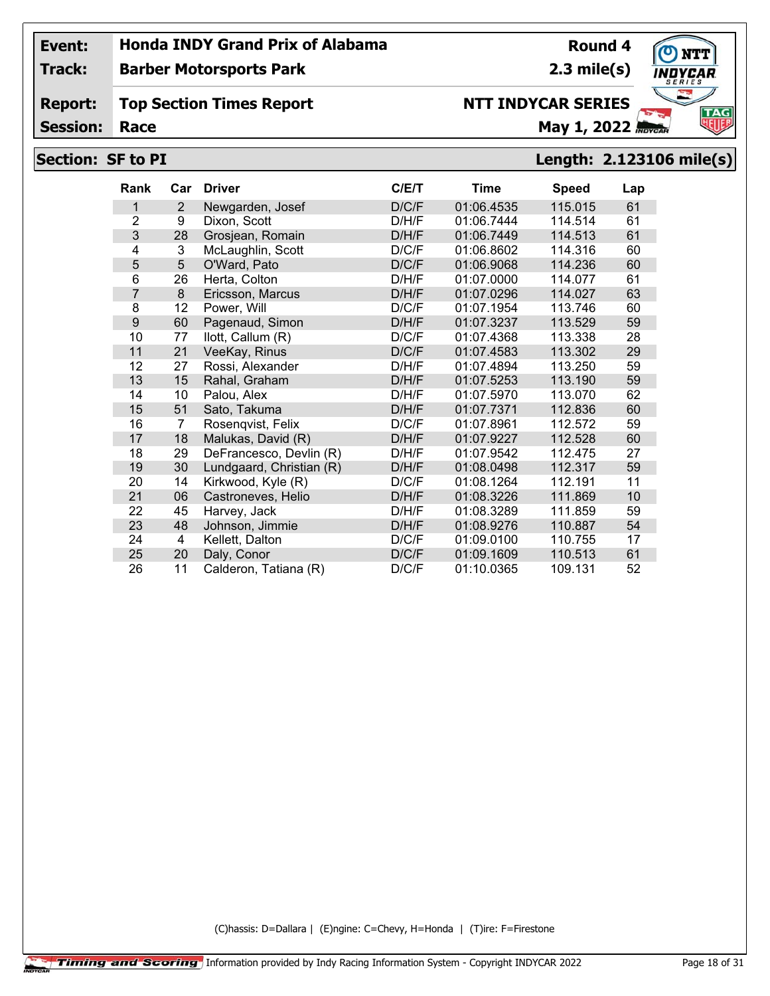**Track:**

**Barber Motorsports Park**

### **Report: Top Section Times Report**

**Session:**

# **NTT INDYCAR SERIES**

**May 1, 2022** 

# **Section: SF to PI Length: 2.123106 mile(s)**

| <b>Rank</b>    | Car | <b>Driver</b>            | C/E/T | <b>Time</b> | <b>Speed</b> | Lap |
|----------------|-----|--------------------------|-------|-------------|--------------|-----|
| 1              | 2   | Newgarden, Josef         | D/C/F | 01:06.4535  | 115.015      | 61  |
| $\overline{2}$ | 9   | Dixon, Scott             | D/H/F | 01:06.7444  | 114.514      | 61  |
| 3              | 28  | Grosjean, Romain         | D/H/F | 01:06.7449  | 114.513      | 61  |
| 4              | 3   | McLaughlin, Scott        | D/C/F | 01:06.8602  | 114.316      | 60  |
| 5              | 5   | O'Ward, Pato             | D/C/F | 01:06.9068  | 114.236      | 60  |
| 6              | 26  | Herta, Colton            | D/H/F | 01:07.0000  | 114.077      | 61  |
| 7              | 8   | Ericsson, Marcus         | D/H/F | 01:07.0296  | 114.027      | 63  |
| 8              | 12  | Power, Will              | D/C/F | 01:07.1954  | 113.746      | 60  |
| 9              | 60  | Pagenaud, Simon          | D/H/F | 01:07.3237  | 113.529      | 59  |
| 10             | 77  | llott, Callum (R)        | D/C/F | 01:07.4368  | 113.338      | 28  |
| 11             | 21  | VeeKay, Rinus            | D/C/F | 01:07.4583  | 113.302      | 29  |
| 12             | 27  | Rossi, Alexander         | D/H/F | 01:07.4894  | 113.250      | 59  |
| 13             | 15  | Rahal, Graham            | D/H/F | 01:07.5253  | 113.190      | 59  |
| 14             | 10  | Palou, Alex              | D/H/F | 01:07.5970  | 113.070      | 62  |
| 15             | 51  | Sato, Takuma             | D/H/F | 01:07.7371  | 112.836      | 60  |
| 16             | 7   | Rosenqvist, Felix        | D/C/F | 01:07.8961  | 112.572      | 59  |
| 17             | 18  | Malukas, David (R)       | D/H/F | 01:07.9227  | 112.528      | 60  |
| 18             | 29  | DeFrancesco, Devlin (R)  | D/H/F | 01:07.9542  | 112.475      | 27  |
| 19             | 30  | Lundgaard, Christian (R) | D/H/F | 01:08.0498  | 112.317      | 59  |
| 20             | 14  | Kirkwood, Kyle (R)       | D/C/F | 01:08.1264  | 112.191      | 11  |
| 21             | 06  | Castroneves, Helio       | D/H/F | 01:08.3226  | 111.869      | 10  |
| 22             | 45  | Harvey, Jack             | D/H/F | 01:08.3289  | 111.859      | 59  |
| 23             | 48  | Johnson, Jimmie          | D/H/F | 01:08.9276  | 110.887      | 54  |
| 24             | 4   | Kellett, Dalton          | D/C/F | 01:09.0100  | 110.755      | 17  |
| 25             | 20  | Daly, Conor              | D/C/F | 01:09.1609  | 110.513      | 61  |
| 26             | 11  | Calderon, Tatiana (R)    | D/C/F | 01:10.0365  | 109.131      | 52  |

(C)hassis: D=Dallara | (E)ngine: C=Chevy, H=Honda | (T)ire: F=Firestone



**Round 4**

**2.3 mile(s)**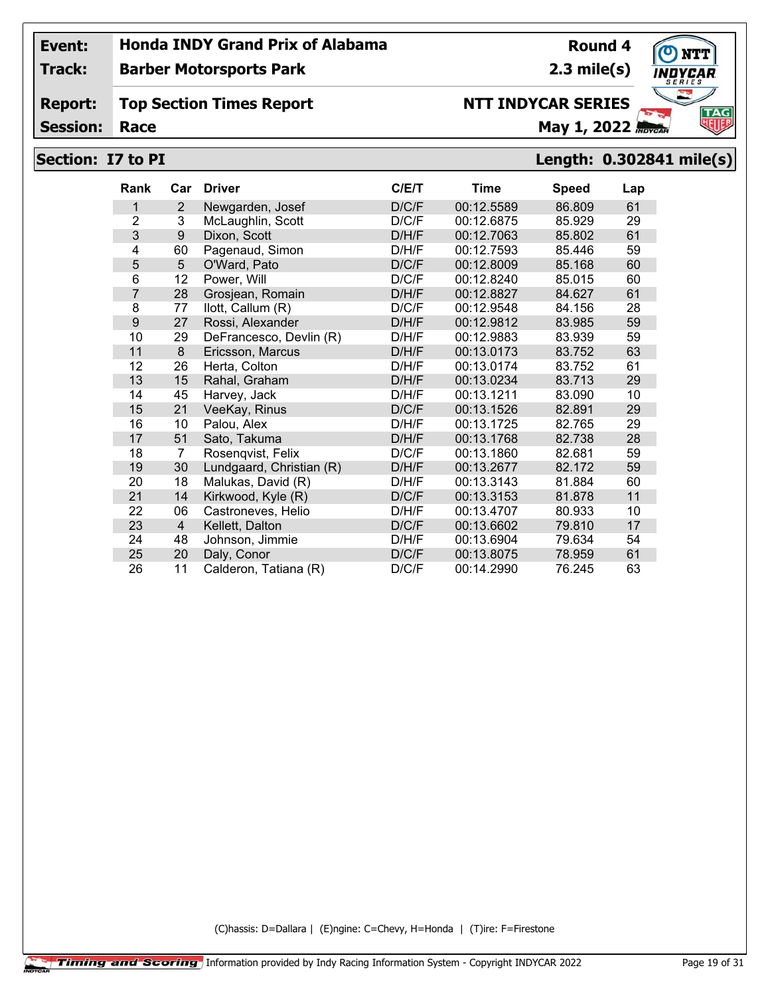**Track:**

**Barber Motorsports Park**

### **Report: Top Section Times Report**

**Session:**

# **NTT INDYCAR SERIES**

**May 1, 2022** 

**Round 4 2.3 mile(s)**

## **Section: I7 to PI Length: 0.302841 mile(s)**

| <b>Rank</b>    | Car            | <b>Driver</b>            | C/E/T | <b>Time</b> | <b>Speed</b> | Lap |
|----------------|----------------|--------------------------|-------|-------------|--------------|-----|
| 1              | $\overline{2}$ | Newgarden, Josef         | D/C/F | 00:12.5589  | 86.809       | 61  |
| $\overline{2}$ | 3              | McLaughlin, Scott        | D/C/F | 00:12.6875  | 85.929       | 29  |
| 3              | 9              | Dixon, Scott             | D/H/F | 00:12.7063  | 85.802       | 61  |
| 4              | 60             | Pagenaud, Simon          | D/H/F | 00:12.7593  | 85.446       | 59  |
| 5              | 5              | O'Ward, Pato             | D/C/F | 00:12.8009  | 85.168       | 60  |
| 6              | 12             | Power, Will              | D/C/F | 00:12.8240  | 85.015       | 60  |
| 7              | 28             | Grosjean, Romain         | D/H/F | 00:12.8827  | 84.627       | 61  |
| 8              | 77             | llott, Callum (R)        | D/C/F | 00:12.9548  | 84.156       | 28  |
| 9              | 27             | Rossi, Alexander         | D/H/F | 00:12.9812  | 83.985       | 59  |
| 10             | 29             | DeFrancesco, Devlin (R)  | D/H/F | 00:12.9883  | 83.939       | 59  |
| 11             | 8              | Ericsson, Marcus         | D/H/F | 00:13.0173  | 83.752       | 63  |
| 12             | 26             | Herta, Colton            | D/H/F | 00:13.0174  | 83.752       | 61  |
| 13             | 15             | Rahal, Graham            | D/H/F | 00:13.0234  | 83.713       | 29  |
| 14             | 45             | Harvey, Jack             | D/H/F | 00:13.1211  | 83.090       | 10  |
| 15             | 21             | VeeKay, Rinus            | D/C/F | 00:13.1526  | 82.891       | 29  |
| 16             | 10             | Palou, Alex              | D/H/F | 00:13.1725  | 82.765       | 29  |
| 17             | 51             | Sato, Takuma             | D/H/F | 00:13.1768  | 82.738       | 28  |
| 18             | 7              | Rosenqvist, Felix        | D/C/F | 00:13.1860  | 82.681       | 59  |
| 19             | 30             | Lundgaard, Christian (R) | D/H/F | 00:13.2677  | 82.172       | 59  |
| 20             | 18             | Malukas, David (R)       | D/H/F | 00:13.3143  | 81.884       | 60  |
| 21             | 14             | Kirkwood, Kyle (R)       | D/C/F | 00:13.3153  | 81.878       | 11  |
| 22             | 06             | Castroneves, Helio       | D/H/F | 00:13.4707  | 80.933       | 10  |
| 23             | $\overline{4}$ | Kellett, Dalton          | D/C/F | 00:13.6602  | 79.810       | 17  |
| 24             | 48             | Johnson, Jimmie          | D/H/F | 00:13.6904  | 79.634       | 54  |
| 25             | 20             | Daly, Conor              | D/C/F | 00:13.8075  | 78.959       | 61  |
| 26             | 11             | Calderon, Tatiana (R)    | D/C/F | 00:14.2990  | 76.245       | 63  |

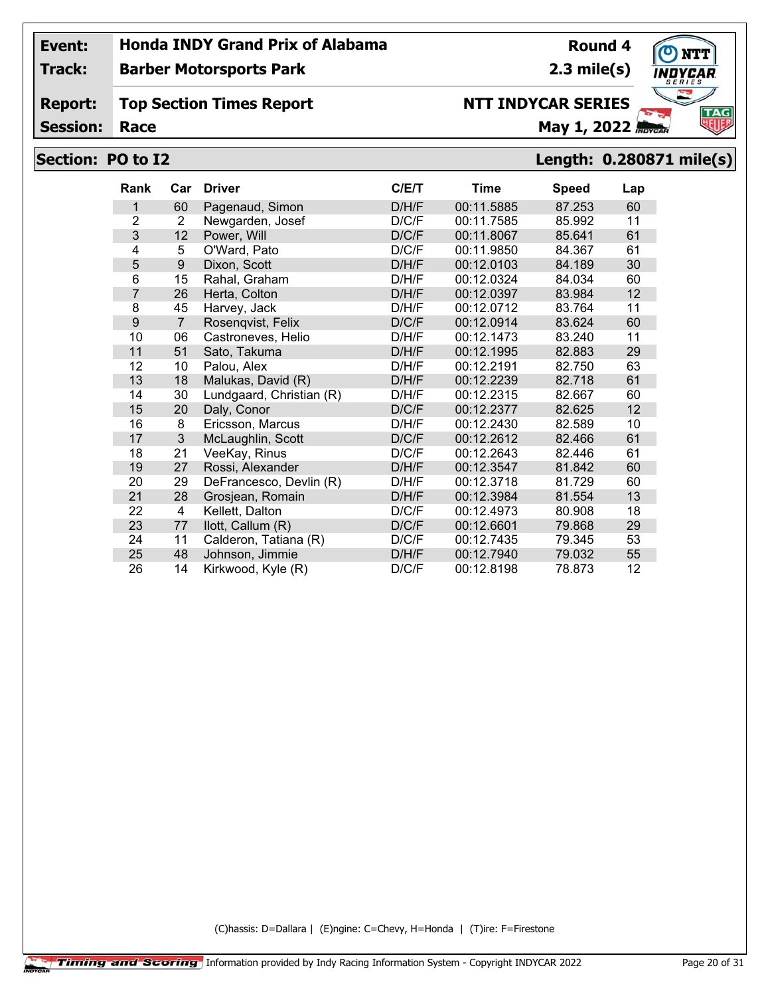**Track:**

## **Barber Motorsports Park**

**Report: Top Section Times Report**

**Session:**

# **NTT INDYCAR SERIES**

**May 1, 2022** 

# **Section: PO to I2 Length: 0.280871 mile(s)**

| Rank           | Car | <b>Driver</b>            | C/ET  | Time       | <b>Speed</b> | Lap |
|----------------|-----|--------------------------|-------|------------|--------------|-----|
| 1              | 60  | Pagenaud, Simon          | D/H/F | 00:11.5885 | 87.253       | 60  |
| $\overline{2}$ | 2   | Newgarden, Josef         | D/C/F | 00:11.7585 | 85.992       | 11  |
| 3              | 12  | Power, Will              | D/C/F | 00:11.8067 | 85.641       | 61  |
| 4              | 5   | O'Ward, Pato             | D/C/F | 00:11.9850 | 84.367       | 61  |
| 5              | 9   | Dixon, Scott             | D/H/F | 00:12.0103 | 84.189       | 30  |
| 6              | 15  | Rahal, Graham            | D/H/F | 00:12.0324 | 84.034       | 60  |
| $\overline{7}$ | 26  | Herta, Colton            | D/H/F | 00:12.0397 | 83.984       | 12  |
| 8              | 45  | Harvey, Jack             | D/H/F | 00:12.0712 | 83.764       | 11  |
| 9              | 7   | Rosenqvist, Felix        | D/C/F | 00:12.0914 | 83.624       | 60  |
| 10             | 06  | Castroneves, Helio       | D/H/F | 00:12.1473 | 83.240       | 11  |
| 11             | 51  | Sato, Takuma             | D/H/F | 00:12.1995 | 82.883       | 29  |
| 12             | 10  | Palou, Alex              | D/H/F | 00:12.2191 | 82.750       | 63  |
| 13             | 18  | Malukas, David (R)       | D/H/F | 00:12.2239 | 82.718       | 61  |
| 14             | 30  | Lundgaard, Christian (R) | D/H/F | 00:12.2315 | 82.667       | 60  |
| 15             | 20  | Daly, Conor              | D/C/F | 00:12.2377 | 82.625       | 12  |
| 16             | 8   | Ericsson, Marcus         | D/H/F | 00:12.2430 | 82.589       | 10  |
| 17             | 3   | McLaughlin, Scott        | D/C/F | 00:12.2612 | 82.466       | 61  |
| 18             | 21  | VeeKay, Rinus            | D/C/F | 00:12.2643 | 82.446       | 61  |
| 19             | 27  | Rossi, Alexander         | D/H/F | 00:12.3547 | 81.842       | 60  |
| 20             | 29  | DeFrancesco, Devlin (R)  | D/H/F | 00:12.3718 | 81.729       | 60  |
| 21             | 28  | Grosjean, Romain         | D/H/F | 00:12.3984 | 81.554       | 13  |
| 22             | 4   | Kellett, Dalton          | D/C/F | 00:12.4973 | 80,908       | 18  |
| 23             | 77  | llott, Callum (R)        | D/C/F | 00:12.6601 | 79.868       | 29  |
| 24             | 11  | Calderon, Tatiana (R)    | D/C/F | 00:12.7435 | 79.345       | 53  |
| 25             | 48  | Johnson, Jimmie          | D/H/F | 00:12.7940 | 79.032       | 55  |
| 26             | 14  | Kirkwood, Kyle (R)       | D/C/F | 00:12.8198 | 78.873       | 12  |

(C)hassis: D=Dallara | (E)ngine: C=Chevy, H=Honda | (T)ire: F=Firestone



**Round 4**

**2.3 mile(s)**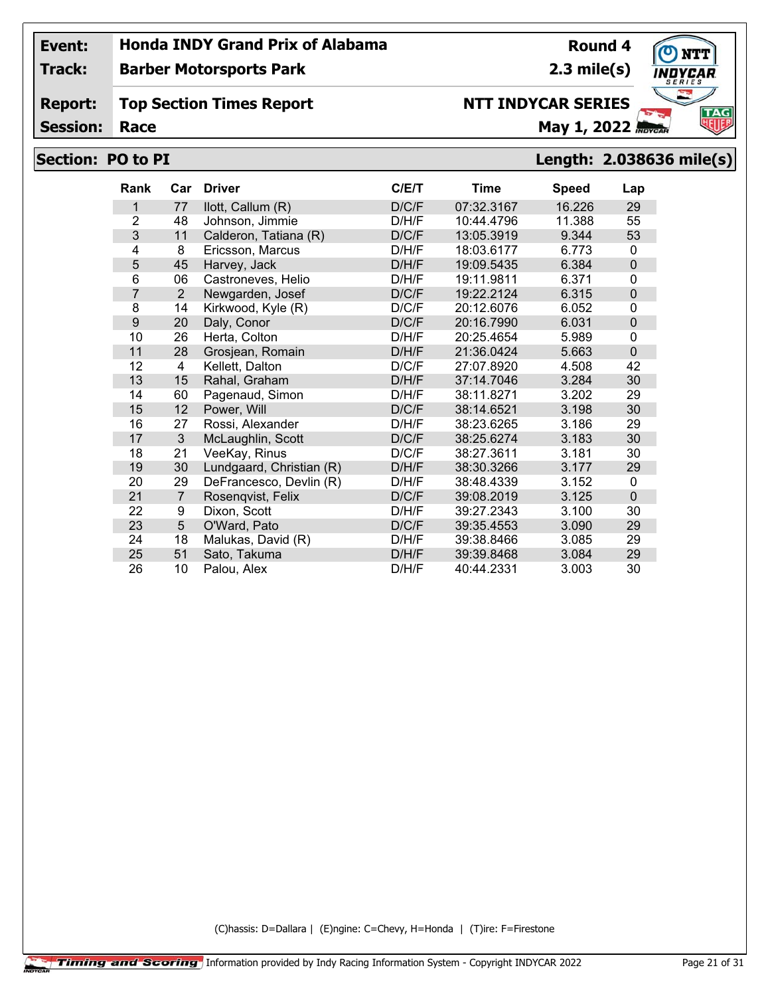**Track:**

**Barber Motorsports Park**

### **Report: Top Section Times Report**

**Session:**

# **NTT INDYCAR SERIES**

**May 1, 2022** 

# **Section: PO to PI Length: 2.038636 mile(s)**

| <b>Rank</b>    | Car            | <b>Driver</b>            | C/E/T | <b>Time</b> | <b>Speed</b> | Lap          |
|----------------|----------------|--------------------------|-------|-------------|--------------|--------------|
| 1              | 77             | llott, Callum (R)        | D/C/F | 07:32.3167  | 16.226       | 29           |
| $\overline{2}$ | 48             | Johnson, Jimmie          | D/H/F | 10:44.4796  | 11.388       | 55           |
| 3              | 11             | Calderon, Tatiana (R)    | D/C/F | 13:05.3919  | 9.344        | 53           |
| 4              | 8              | Ericsson, Marcus         | D/H/F | 18:03.6177  | 6.773        | $\mathbf{0}$ |
| 5              | 45             | Harvey, Jack             | D/H/F | 19:09.5435  | 6.384        | $\mathbf 0$  |
| 6              | 06             | Castroneves, Helio       | D/H/F | 19:11.9811  | 6.371        | 0            |
| $\overline{7}$ | $\overline{2}$ | Newgarden, Josef         | D/C/F | 19:22.2124  | 6.315        | $\pmb{0}$    |
| 8              | 14             | Kirkwood, Kyle (R)       | D/C/F | 20:12.6076  | 6.052        | 0            |
| 9              | 20             | Daly, Conor              | D/C/F | 20:16.7990  | 6.031        | 0            |
| 10             | 26             | Herta, Colton            | D/H/F | 20:25.4654  | 5.989        | 0            |
| 11             | 28             | Grosjean, Romain         | D/H/F | 21:36.0424  | 5.663        | $\mathbf 0$  |
| 12             | 4              | Kellett, Dalton          | D/C/F | 27:07.8920  | 4.508        | 42           |
| 13             | 15             | Rahal, Graham            | D/H/F | 37:14.7046  | 3.284        | 30           |
| 14             | 60             | Pagenaud, Simon          | D/H/F | 38:11.8271  | 3.202        | 29           |
| 15             | 12             | Power, Will              | D/C/F | 38:14.6521  | 3.198        | 30           |
| 16             | 27             | Rossi, Alexander         | D/H/F | 38:23.6265  | 3.186        | 29           |
| 17             | $\mathfrak{S}$ | McLaughlin, Scott        | D/C/F | 38:25.6274  | 3.183        | 30           |
| 18             | 21             | VeeKay, Rinus            | D/C/F | 38:27.3611  | 3.181        | 30           |
| 19             | 30             | Lundgaard, Christian (R) | D/H/F | 38:30.3266  | 3.177        | 29           |
| 20             | 29             | DeFrancesco, Devlin (R)  | D/H/F | 38:48.4339  | 3.152        | $\mathbf 0$  |
| 21             | $\overline{7}$ | Rosenqvist, Felix        | D/C/F | 39:08.2019  | 3.125        | $\mathbf 0$  |
| 22             | 9              | Dixon, Scott             | D/H/F | 39:27.2343  | 3.100        | 30           |
| 23             | 5              | O'Ward, Pato             | D/C/F | 39:35.4553  | 3.090        | 29           |
| 24             | 18             | Malukas, David (R)       | D/H/F | 39:38.8466  | 3.085        | 29           |
| 25             | 51             | Sato, Takuma             | D/H/F | 39:39.8468  | 3.084        | 29           |
| 26             | 10             | Palou, Alex              | D/H/F | 40:44.2331  | 3.003        | 30           |

(C)hassis: D=Dallara | (E)ngine: C=Chevy, H=Honda | (T)ire: F=Firestone



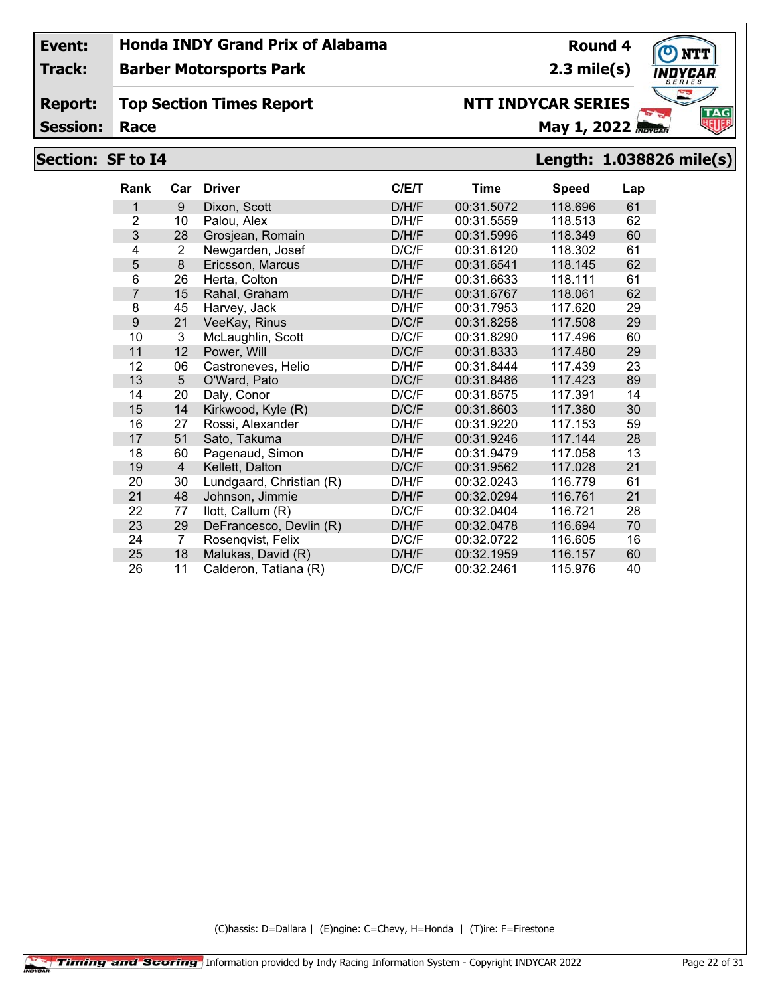**Track:**

**Barber Motorsports Park**

#### **Report: Top Section Times Report**

**Session:**

**NTT INDYCAR SERIES**

**May 1, 2022** 

**Round 4 2.3 mile(s)**

# **Section: SF to I4 Length: 1.038826 mile(s)**

| <b>Rank</b>    | Car            | <b>Driver</b>            | C/ET  | <b>Time</b> | <b>Speed</b> | Lap |
|----------------|----------------|--------------------------|-------|-------------|--------------|-----|
| 1              | 9              | Dixon, Scott             | D/H/F | 00:31.5072  | 118.696      | 61  |
| $\overline{2}$ | 10             | Palou, Alex              | D/H/F | 00:31.5559  | 118.513      | 62  |
| 3              | 28             | Grosjean, Romain         | D/H/F | 00:31.5996  | 118.349      | 60  |
| 4              | $\overline{2}$ | Newgarden, Josef         | D/C/F | 00:31.6120  | 118.302      | 61  |
| 5              | 8              | Ericsson, Marcus         | D/H/F | 00:31.6541  | 118.145      | 62  |
| 6              | 26             | Herta, Colton            | D/H/F | 00:31.6633  | 118.111      | 61  |
| $\overline{7}$ | 15             | Rahal, Graham            | D/H/F | 00:31.6767  | 118.061      | 62  |
| 8              | 45             | Harvey, Jack             | D/H/F | 00:31.7953  | 117.620      | 29  |
| 9              | 21             | VeeKay, Rinus            | D/C/F | 00:31.8258  | 117.508      | 29  |
| 10             | 3              | McLaughlin, Scott        | D/C/F | 00:31.8290  | 117.496      | 60  |
| 11             | 12             | Power, Will              | D/C/F | 00:31.8333  | 117.480      | 29  |
| 12             | 06             | Castroneves, Helio       | D/H/F | 00:31.8444  | 117.439      | 23  |
| 13             | 5              | O'Ward, Pato             | D/C/F | 00:31.8486  | 117.423      | 89  |
| 14             | 20             | Daly, Conor              | D/C/F | 00:31.8575  | 117.391      | 14  |
| 15             | 14             | Kirkwood, Kyle (R)       | D/C/F | 00:31.8603  | 117.380      | 30  |
| 16             | 27             | Rossi, Alexander         | D/H/F | 00:31.9220  | 117.153      | 59  |
| 17             | 51             | Sato, Takuma             | D/H/F | 00:31.9246  | 117.144      | 28  |
| 18             | 60             | Pagenaud, Simon          | D/H/F | 00:31.9479  | 117.058      | 13  |
| 19             | $\overline{4}$ | Kellett, Dalton          | D/C/F | 00:31.9562  | 117.028      | 21  |
| 20             | 30             | Lundgaard, Christian (R) | D/H/F | 00:32.0243  | 116.779      | 61  |
| 21             | 48             | Johnson, Jimmie          | D/H/F | 00:32.0294  | 116.761      | 21  |
| 22             | 77             | llott, Callum (R)        | D/C/F | 00:32.0404  | 116.721      | 28  |
| 23             | 29             | DeFrancesco, Devlin (R)  | D/H/F | 00:32.0478  | 116.694      | 70  |
| 24             | 7              | Rosenqvist, Felix        | D/C/F | 00:32.0722  | 116.605      | 16  |
| 25             | 18             | Malukas, David (R)       | D/H/F | 00:32.1959  | 116.157      | 60  |
| 26             | 11             | Calderon, Tatiana (R)    | D/C/F | 00:32.2461  | 115.976      | 40  |

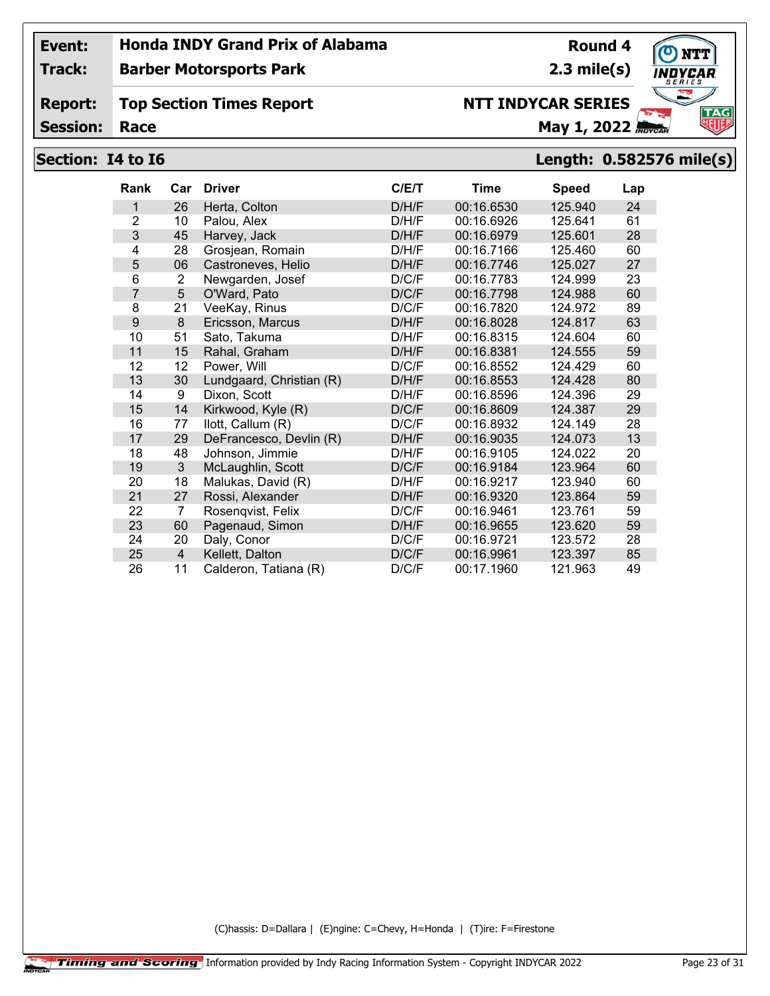**Track:**

**Barber Motorsports Park**

### **Report: Top Section Times Report**

**Session:**

# **NTT INDYCAR SERIES**

**May 1, 2022** 

## **Section: I4 to I6 Length: 0.582576 mile(s)**

| <b>Rank</b>    | Car            | <b>Driver</b>            | C/E/T | Time       | <b>Speed</b> | Lap |
|----------------|----------------|--------------------------|-------|------------|--------------|-----|
| 1              | 26             | Herta, Colton            | D/H/F | 00:16.6530 | 125.940      | 24  |
| $\overline{2}$ | 10             | Palou, Alex              | D/H/F | 00:16.6926 | 125.641      | 61  |
| 3              | 45             | Harvey, Jack             | D/H/F | 00:16.6979 | 125.601      | 28  |
| 4              | 28             | Grosjean, Romain         | D/H/F | 00:16.7166 | 125.460      | 60  |
| 5              | 06             | Castroneves, Helio       | D/H/F | 00:16.7746 | 125.027      | 27  |
| 6              | 2              | Newgarden, Josef         | D/C/F | 00:16.7783 | 124.999      | 23  |
| $\overline{7}$ | 5              | O'Ward, Pato             | D/C/F | 00:16.7798 | 124.988      | 60  |
| 8              | 21             | VeeKay, Rinus            | D/C/F | 00:16.7820 | 124.972      | 89  |
| 9              | 8              | Ericsson, Marcus         | D/H/F | 00:16.8028 | 124.817      | 63  |
| 10             | 51             | Sato, Takuma             | D/H/F | 00:16.8315 | 124.604      | 60  |
| 11             | 15             | Rahal, Graham            | D/H/F | 00:16.8381 | 124.555      | 59  |
| 12             | 12             | Power, Will              | D/C/F | 00:16.8552 | 124.429      | 60  |
| 13             | 30             | Lundgaard, Christian (R) | D/H/F | 00:16.8553 | 124.428      | 80  |
| 14             | 9              | Dixon, Scott             | D/H/F | 00:16.8596 | 124.396      | 29  |
| 15             | 14             | Kirkwood, Kyle (R)       | D/C/F | 00:16.8609 | 124.387      | 29  |
| 16             | 77             | llott, Callum (R)        | D/C/F | 00:16.8932 | 124.149      | 28  |
| 17             | 29             | DeFrancesco, Devlin (R)  | D/H/F | 00:16.9035 | 124.073      | 13  |
| 18             | 48             | Johnson, Jimmie          | D/H/F | 00:16.9105 | 124.022      | 20  |
| 19             | 3              | McLaughlin, Scott        | D/C/F | 00:16.9184 | 123.964      | 60  |
| 20             | 18             | Malukas, David (R)       | D/H/F | 00:16.9217 | 123.940      | 60  |
| 21             | 27             | Rossi, Alexander         | D/H/F | 00:16.9320 | 123.864      | 59  |
| 22             | 7              | Rosenqvist, Felix        | D/C/F | 00:16.9461 | 123.761      | 59  |
| 23             | 60             | Pagenaud, Simon          | D/H/F | 00:16.9655 | 123.620      | 59  |
| 24             | 20             | Daly, Conor              | D/C/F | 00:16.9721 | 123.572      | 28  |
| 25             | $\overline{4}$ | Kellett, Dalton          | D/C/F | 00:16.9961 | 123.397      | 85  |
| 26             | 11             | Calderon, Tatiana (R)    | D/C/F | 00:17.1960 | 121.963      | 49  |

(C)hassis: D=Dallara | (E)ngine: C=Chevy, H=Honda | (T)ire: F=Firestone



**Round 4**

**2.3 mile(s)**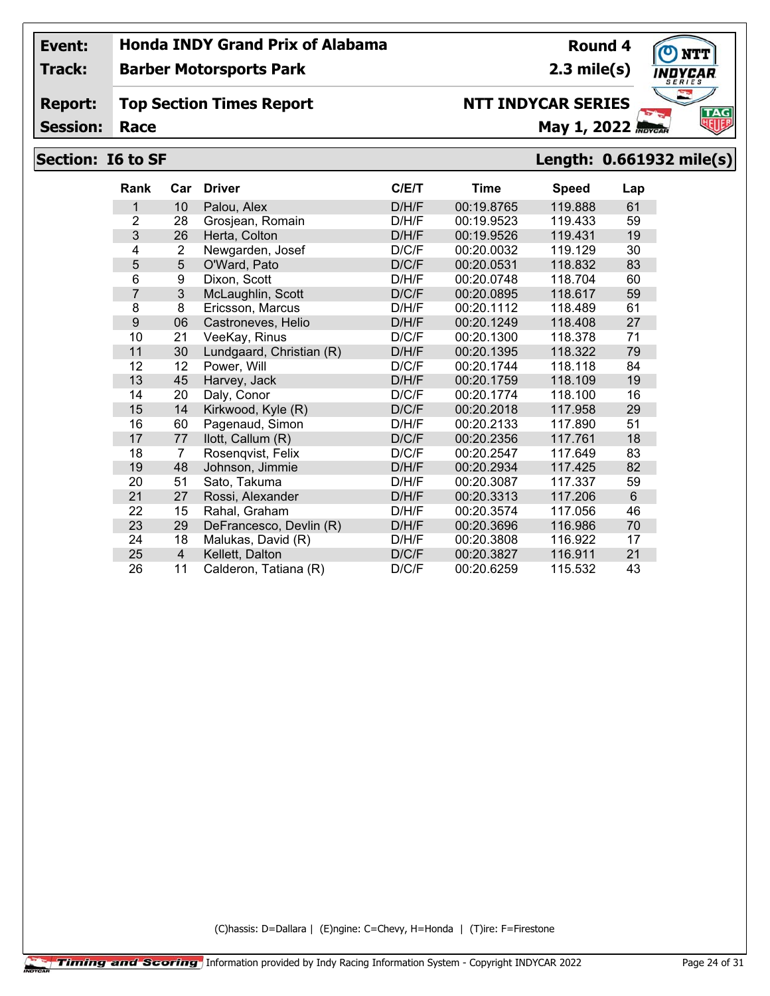**Track:**

## **Barber Motorsports Park**

**Report: Top Section Times Report**

**Session:**

# **NTT INDYCAR SERIES**

**May 1, 2022** 

**Round 4 2.3 mile(s)**

# **Section: I6 to SF Length: 0.661932 mile(s)**

| <b>Rank</b>    | Car            | <b>Driver</b>            | C/E/T | <b>Time</b> | <b>Speed</b> | Lap |
|----------------|----------------|--------------------------|-------|-------------|--------------|-----|
| 1              | 10             | Palou, Alex              | D/H/F | 00:19.8765  | 119.888      | 61  |
| $\overline{2}$ | 28             | Grosjean, Romain         | D/H/F | 00:19.9523  | 119.433      | 59  |
| 3              | 26             | Herta, Colton            | D/H/F | 00:19.9526  | 119.431      | 19  |
| 4              | 2              | Newgarden, Josef         | D/C/F | 00:20.0032  | 119.129      | 30  |
| 5              | 5              | O'Ward, Pato             | D/C/F | 00:20.0531  | 118.832      | 83  |
| 6              | 9              | Dixon, Scott             | D/H/F | 00:20.0748  | 118.704      | 60  |
| $\overline{7}$ | 3              | McLaughlin, Scott        | D/C/F | 00:20.0895  | 118.617      | 59  |
| 8              | 8              | Ericsson, Marcus         | D/H/F | 00:20.1112  | 118.489      | 61  |
| 9              | 06             | Castroneves, Helio       | D/H/F | 00:20.1249  | 118.408      | 27  |
| 10             | 21             | VeeKay, Rinus            | D/C/F | 00:20.1300  | 118.378      | 71  |
| 11             | 30             | Lundgaard, Christian (R) | D/H/F | 00:20.1395  | 118.322      | 79  |
| 12             | 12             | Power, Will              | D/C/F | 00:20.1744  | 118.118      | 84  |
| 13             | 45             | Harvey, Jack             | D/H/F | 00:20.1759  | 118.109      | 19  |
| 14             | 20             | Daly, Conor              | D/C/F | 00:20.1774  | 118.100      | 16  |
| 15             | 14             | Kirkwood, Kyle (R)       | D/C/F | 00:20.2018  | 117.958      | 29  |
| 16             | 60             | Pagenaud, Simon          | D/H/F | 00:20.2133  | 117.890      | 51  |
| 17             | 77             | llott, Callum (R)        | D/C/F | 00:20.2356  | 117.761      | 18  |
| 18             | 7              | Rosenqvist, Felix        | D/C/F | 00:20.2547  | 117.649      | 83  |
| 19             | 48             | Johnson, Jimmie          | D/H/F | 00:20.2934  | 117.425      | 82  |
| 20             | 51             | Sato, Takuma             | D/H/F | 00:20.3087  | 117.337      | 59  |
| 21             | 27             | Rossi, Alexander         | D/H/F | 00:20.3313  | 117.206      | 6   |
| 22             | 15             | Rahal, Graham            | D/H/F | 00:20.3574  | 117.056      | 46  |
| 23             | 29             | DeFrancesco, Devlin (R)  | D/H/F | 00:20.3696  | 116.986      | 70  |
| 24             | 18             | Malukas, David (R)       | D/H/F | 00:20.3808  | 116.922      | 17  |
| 25             | $\overline{4}$ | Kellett, Dalton          | D/C/F | 00:20.3827  | 116.911      | 21  |
| 26             | 11             | Calderon, Tatiana (R)    | D/C/F | 00:20.6259  | 115.532      | 43  |

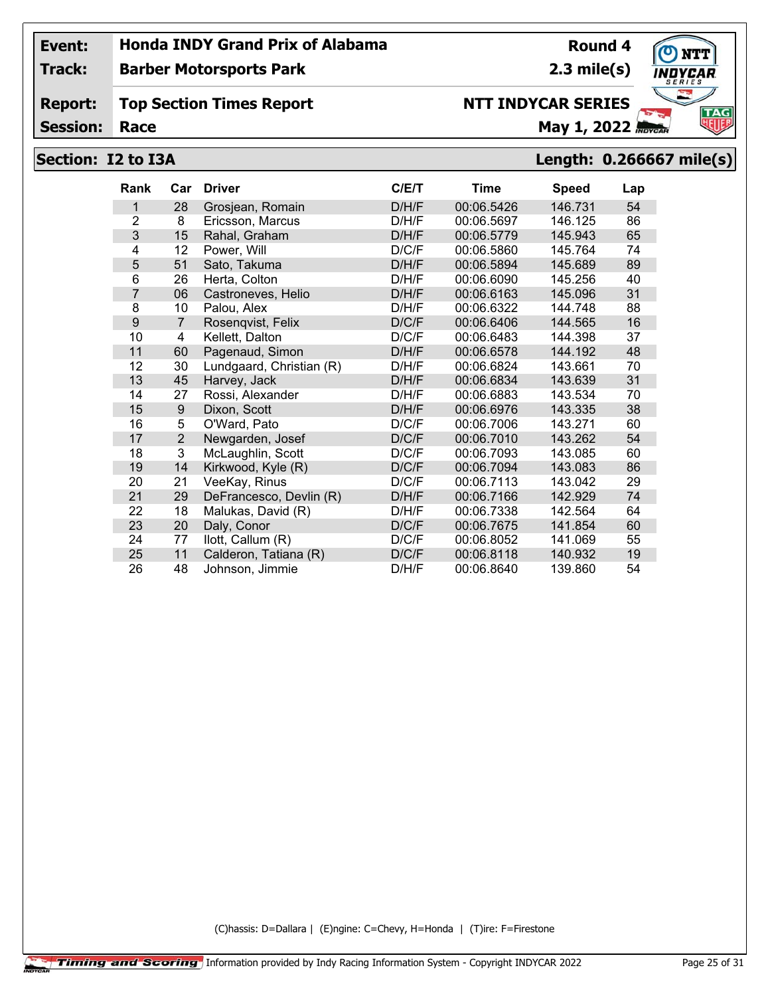**Track:**

**Barber Motorsports Park**

### **Report: Top Section Times Report**

**Session:**

# **NTT INDYCAR SERIES**

**Race May 1, 2022** *Rocal* **<b>May 1, 2022** *Royck***</mark></del>** 

**Round 4 2.3 mile(s)**

# **Section: I2 to I3A Length: 0.266667 mile(s)**

| <b>Rank</b>    | Car            | <b>Driver</b>            | C/ET  | Time       | <b>Speed</b> | Lap |
|----------------|----------------|--------------------------|-------|------------|--------------|-----|
| 1              | 28             | Grosjean, Romain         | D/H/F | 00:06.5426 | 146.731      | 54  |
| $\overline{2}$ | 8              | Ericsson, Marcus         | D/H/F | 00:06.5697 | 146.125      | 86  |
| 3              | 15             | Rahal, Graham            | D/H/F | 00:06.5779 | 145.943      | 65  |
| 4              | 12             | Power, Will              | D/C/F | 00:06.5860 | 145.764      | 74  |
| 5              | 51             | Sato, Takuma             | D/H/F | 00:06.5894 | 145.689      | 89  |
| 6              | 26             | Herta, Colton            | D/H/F | 00:06.6090 | 145.256      | 40  |
| 7              | 06             | Castroneves, Helio       | D/H/F | 00:06.6163 | 145.096      | 31  |
| 8              | 10             | Palou, Alex              | D/H/F | 00:06.6322 | 144.748      | 88  |
| 9              | $\overline{7}$ | Rosengvist, Felix        | D/C/F | 00:06.6406 | 144.565      | 16  |
| 10             | $\overline{4}$ | Kellett, Dalton          | D/C/F | 00:06.6483 | 144.398      | 37  |
| 11             | 60             | Pagenaud, Simon          | D/H/F | 00:06.6578 | 144.192      | 48  |
| 12             | 30             | Lundgaard, Christian (R) | D/H/F | 00:06.6824 | 143.661      | 70  |
| 13             | 45             | Harvey, Jack             | D/H/F | 00:06.6834 | 143.639      | 31  |
| 14             | 27             | Rossi, Alexander         | D/H/F | 00:06.6883 | 143.534      | 70  |
| 15             | 9              | Dixon, Scott             | D/H/F | 00:06.6976 | 143.335      | 38  |
| 16             | 5              | O'Ward, Pato             | D/C/F | 00:06.7006 | 143.271      | 60  |
| 17             | $\overline{2}$ | Newgarden, Josef         | D/C/F | 00:06.7010 | 143.262      | 54  |
| 18             | 3              | McLaughlin, Scott        | D/C/F | 00:06.7093 | 143.085      | 60  |
| 19             | 14             | Kirkwood, Kyle (R)       | D/C/F | 00:06.7094 | 143.083      | 86  |
| 20             | 21             | VeeKay, Rinus            | D/C/F | 00:06.7113 | 143.042      | 29  |
| 21             | 29             | DeFrancesco, Devlin (R)  | D/H/F | 00:06.7166 | 142.929      | 74  |
| 22             | 18             | Malukas, David (R)       | D/H/F | 00:06.7338 | 142.564      | 64  |
| 23             | 20             | Daly, Conor              | D/C/F | 00:06.7675 | 141.854      | 60  |
| 24             | 77             | llott, Callum (R)        | D/C/F | 00:06.8052 | 141.069      | 55  |
| 25             | 11             | Calderon, Tatiana (R)    | D/C/F | 00:06.8118 | 140.932      | 19  |
| 26             | 48             | Johnson, Jimmie          | D/H/F | 00:06.8640 | 139.860      | 54  |

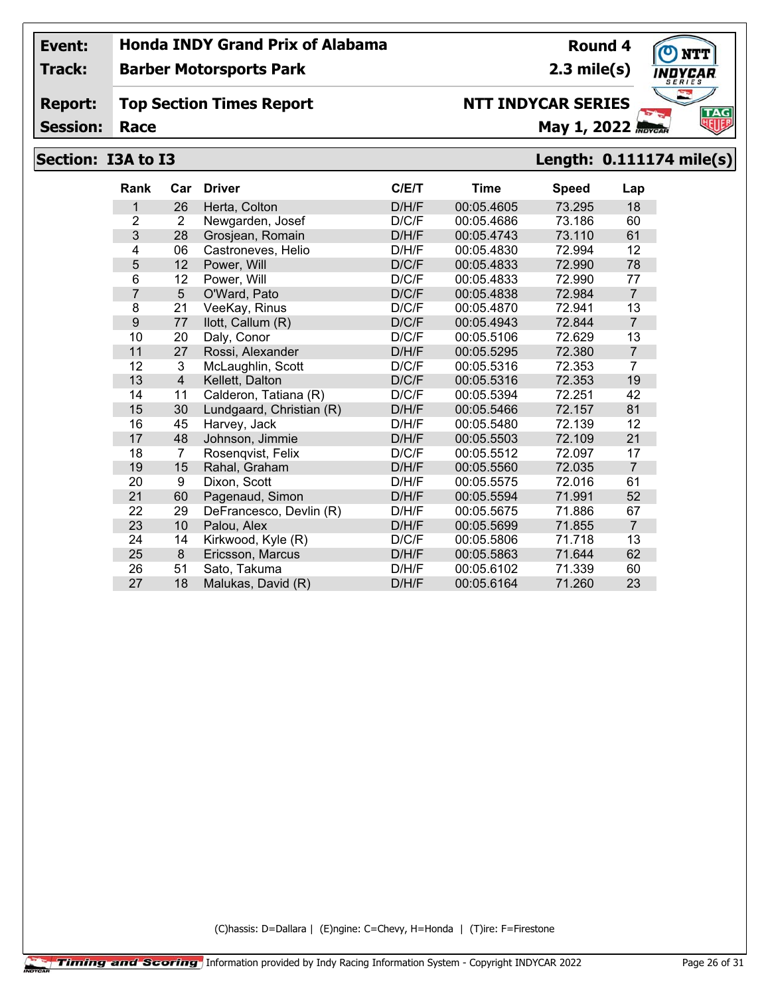**Track:**

## **Barber Motorsports Park**

#### **Report: Top Section Times Report**

**Session:**

# **NTT INDYCAR SERIES**

**May 1, 2022** 

**Round 4 2.3 mile(s)**

# **Section: I3A to I3 Length: 0.111174 mile(s)**

| <b>Rank</b>    | Car            | <b>Driver</b>            | C/ET  | Time       | <b>Speed</b> | Lap            |
|----------------|----------------|--------------------------|-------|------------|--------------|----------------|
| 1              | 26             | Herta, Colton            | D/H/F | 00:05.4605 | 73.295       | 18             |
| $\overline{2}$ | 2              | Newgarden, Josef         | D/C/F | 00:05.4686 | 73.186       | 60             |
| 3              | 28             | Grosjean, Romain         | D/H/F | 00:05.4743 | 73.110       | 61             |
| 4              | 06             | Castroneves, Helio       | D/H/F | 00:05.4830 | 72.994       | 12             |
| 5              | 12             | Power, Will              | D/C/F | 00:05.4833 | 72.990       | 78             |
| 6              | 12             | Power, Will              | D/C/F | 00:05.4833 | 72.990       | 77             |
| 7              | 5              | O'Ward, Pato             | D/C/F | 00:05.4838 | 72.984       | $\overline{7}$ |
| 8              | 21             | VeeKay, Rinus            | D/C/F | 00:05.4870 | 72.941       | 13             |
| 9              | 77             | llott, Callum (R)        | D/C/F | 00:05.4943 | 72.844       | $\overline{7}$ |
| 10             | 20             | Daly, Conor              | D/C/F | 00:05.5106 | 72.629       | 13             |
| 11             | 27             | Rossi, Alexander         | D/H/F | 00:05.5295 | 72.380       | $\overline{7}$ |
| 12             | 3              | McLaughlin, Scott        | D/C/F | 00:05.5316 | 72.353       | 7              |
| 13             | $\overline{4}$ | Kellett, Dalton          | D/C/F | 00:05.5316 | 72.353       | 19             |
| 14             | 11             | Calderon, Tatiana (R)    | D/C/F | 00:05.5394 | 72.251       | 42             |
| 15             | 30             | Lundgaard, Christian (R) | D/H/F | 00:05.5466 | 72.157       | 81             |
| 16             | 45             | Harvey, Jack             | D/H/F | 00:05.5480 | 72.139       | 12             |
| 17             | 48             | Johnson, Jimmie          | D/H/F | 00:05.5503 | 72.109       | 21             |
| 18             | 7              | Rosengvist, Felix        | D/C/F | 00:05.5512 | 72.097       | 17             |
| 19             | 15             | Rahal, Graham            | D/H/F | 00:05.5560 | 72.035       | $\overline{7}$ |
| 20             | 9              | Dixon, Scott             | D/H/F | 00:05.5575 | 72.016       | 61             |
| 21             | 60             | Pagenaud, Simon          | D/H/F | 00:05.5594 | 71.991       | 52             |
| 22             | 29             | DeFrancesco, Devlin (R)  | D/H/F | 00:05.5675 | 71.886       | 67             |
| 23             | 10             | Palou, Alex              | D/H/F | 00:05.5699 | 71.855       | $\overline{7}$ |
| 24             | 14             | Kirkwood, Kyle (R)       | D/C/F | 00:05.5806 | 71.718       | 13             |
| 25             | 8              | Ericsson, Marcus         | D/H/F | 00:05.5863 | 71.644       | 62             |
| 26             | 51             | Sato, Takuma             | D/H/F | 00:05.6102 | 71.339       | 60             |
| 27             | 18             | Malukas, David (R)       | D/H/F | 00:05.6164 | 71.260       | 23             |

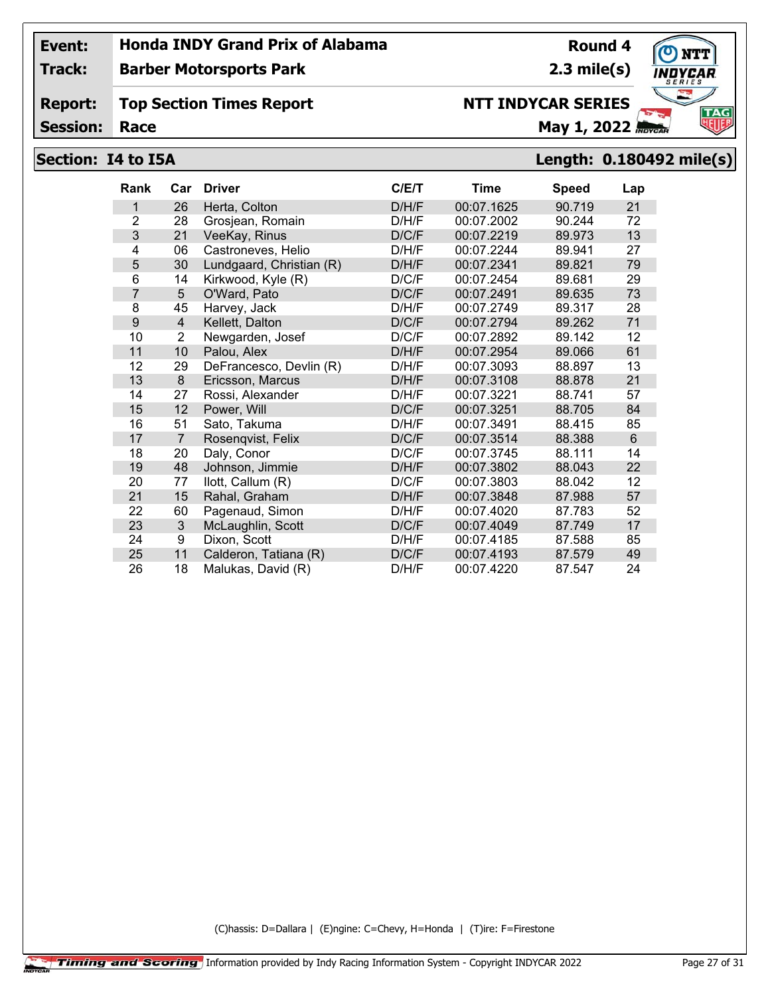**Track:**

**Barber Motorsports Park**

#### **Report: Top Section Times Report**

**Session:**

# **Section: I4 to I5A Length: 0.180492 mile(s)**

| <b>Rank</b>    | Car            | <b>Driver</b>            | C/E/T | Time       | <b>Speed</b> | Lap            |
|----------------|----------------|--------------------------|-------|------------|--------------|----------------|
| 1              | 26             | Herta, Colton            | D/H/F | 00:07.1625 | 90.719       | 21             |
| $\overline{2}$ | 28             | Grosjean, Romain         | D/H/F | 00:07.2002 | 90.244       | 72             |
| 3              | 21             | VeeKay, Rinus            | D/C/F | 00:07.2219 | 89.973       | 13             |
| 4              | 06             | Castroneves, Helio       | D/H/F | 00:07.2244 | 89.941       | 27             |
| 5              | 30             | Lundgaard, Christian (R) | D/H/F | 00:07.2341 | 89.821       | 79             |
| 6              | 14             | Kirkwood, Kyle (R)       | D/C/F | 00:07.2454 | 89.681       | 29             |
| $\overline{7}$ | 5              | O'Ward, Pato             | D/C/F | 00:07.2491 | 89.635       | 73             |
| 8              | 45             | Harvey, Jack             | D/H/F | 00:07.2749 | 89.317       | 28             |
| 9              | $\overline{4}$ | Kellett, Dalton          | D/C/F | 00:07.2794 | 89.262       | 71             |
| 10             | $\overline{2}$ | Newgarden, Josef         | D/C/F | 00:07.2892 | 89.142       | 12             |
| 11             | 10             | Palou, Alex              | D/H/F | 00:07.2954 | 89.066       | 61             |
| 12             | 29             | DeFrancesco, Devlin (R)  | D/H/F | 00:07.3093 | 88.897       | 13             |
| 13             | 8              | Ericsson, Marcus         | D/H/F | 00:07.3108 | 88.878       | 21             |
| 14             | 27             | Rossi, Alexander         | D/H/F | 00:07.3221 | 88.741       | 57             |
| 15             | 12             | Power, Will              | D/C/F | 00:07.3251 | 88.705       | 84             |
| 16             | 51             | Sato, Takuma             | D/H/F | 00:07.3491 | 88.415       | 85             |
| 17             | $\overline{7}$ | Rosenqvist, Felix        | D/C/F | 00:07.3514 | 88.388       | $6\phantom{1}$ |
| 18             | 20             | Daly, Conor              | D/C/F | 00:07.3745 | 88.111       | 14             |
| 19             | 48             | Johnson, Jimmie          | D/H/F | 00:07.3802 | 88.043       | 22             |
| 20             | 77             | llott, Callum (R)        | D/C/F | 00:07.3803 | 88.042       | 12             |
| 21             | 15             | Rahal, Graham            | D/H/F | 00:07.3848 | 87.988       | 57             |
| 22             | 60             | Pagenaud, Simon          | D/H/F | 00:07.4020 | 87.783       | 52             |
| 23             | 3              | McLaughlin, Scott        | D/C/F | 00:07.4049 | 87.749       | 17             |
| 24             | 9              | Dixon, Scott             | D/H/F | 00:07.4185 | 87.588       | 85             |
| 25             | 11             | Calderon, Tatiana (R)    | D/C/F | 00:07.4193 | 87.579       | 49             |
| 26             | 18             | Malukas, David (R)       | D/H/F | 00:07.4220 | 87.547       | 24             |

(C)hassis: D=Dallara | (E)ngine: C=Chevy, H=Honda | (T)ire: F=Firestone



**Round 4 2.3 mile(s)**

**Race May 1, 2022** *Rocal* **<b>May 1, 2022** *Royck***</mark></del>** 

**NTT INDYCAR SERIES**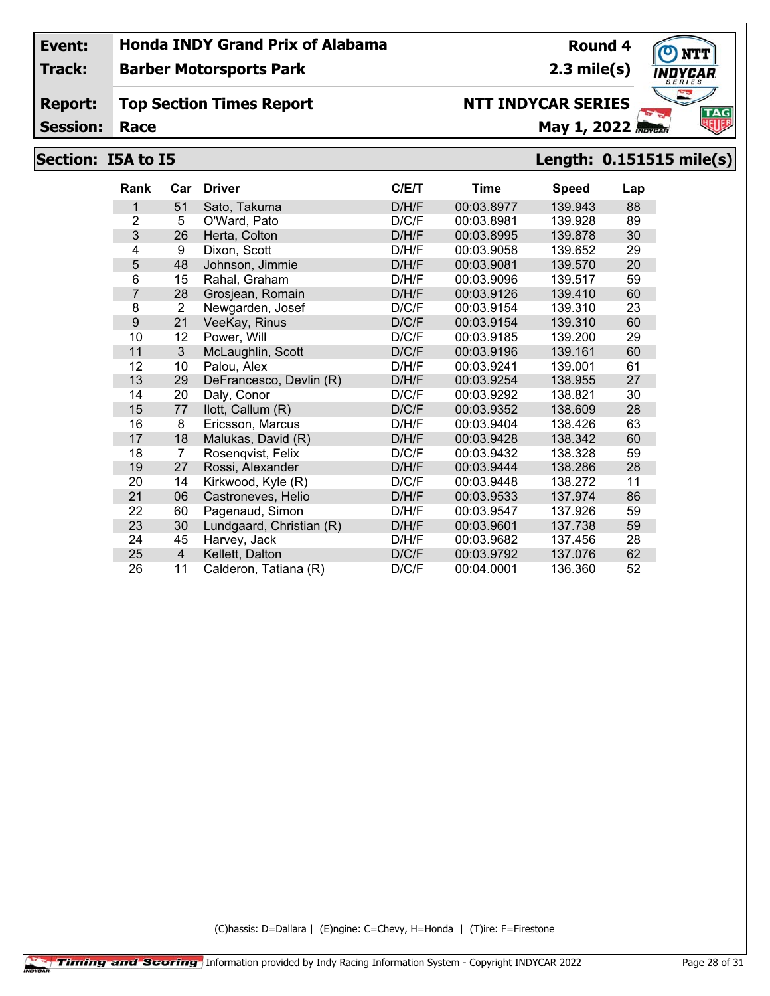**Track:**

**Barber Motorsports Park**

### **Report: Top Section Times Report**

**Session:**

# **NTT INDYCAR SERIES**

**May 1, 2022** 

# **Section: I5A to I5 Length: 0.151515 mile(s)**

| <b>Rank</b>    | Car            | <b>Driver</b>            | C/E/T | Time       | <b>Speed</b> | Lap |
|----------------|----------------|--------------------------|-------|------------|--------------|-----|
| 1              | 51             | Sato, Takuma             | D/H/F | 00:03.8977 | 139.943      | 88  |
| $\overline{2}$ | 5              | O'Ward, Pato             | D/C/F | 00:03.8981 | 139.928      | 89  |
| 3              | 26             | Herta, Colton            | D/H/F | 00:03.8995 | 139.878      | 30  |
| 4              | 9              | Dixon, Scott             | D/H/F | 00:03.9058 | 139.652      | 29  |
| 5              | 48             | Johnson, Jimmie          | D/H/F | 00:03.9081 | 139.570      | 20  |
| 6              | 15             | Rahal, Graham            | D/H/F | 00:03.9096 | 139.517      | 59  |
| 7              | 28             | Grosjean, Romain         | D/H/F | 00:03.9126 | 139.410      | 60  |
| 8              | $\overline{2}$ | Newgarden, Josef         | D/C/F | 00:03.9154 | 139.310      | 23  |
| 9              | 21             | VeeKay, Rinus            | D/C/F | 00:03.9154 | 139.310      | 60  |
| 10             | 12             | Power, Will              | D/C/F | 00:03.9185 | 139.200      | 29  |
| 11             | $\mathbf{3}$   | McLaughlin, Scott        | D/C/F | 00:03.9196 | 139.161      | 60  |
| 12             | 10             | Palou, Alex              | D/H/F | 00:03.9241 | 139.001      | 61  |
| 13             | 29             | DeFrancesco, Devlin (R)  | D/H/F | 00:03.9254 | 138.955      | 27  |
| 14             | 20             | Daly, Conor              | D/C/F | 00:03.9292 | 138.821      | 30  |
| 15             | 77             | llott, Callum (R)        | D/C/F | 00:03.9352 | 138.609      | 28  |
| 16             | 8              | Ericsson, Marcus         | D/H/F | 00:03.9404 | 138.426      | 63  |
| 17             | 18             | Malukas, David (R)       | D/H/F | 00:03.9428 | 138.342      | 60  |
| 18             | 7              | Rosenqvist, Felix        | D/C/F | 00:03.9432 | 138.328      | 59  |
| 19             | 27             | Rossi, Alexander         | D/H/F | 00:03.9444 | 138.286      | 28  |
| 20             | 14             | Kirkwood, Kyle (R)       | D/C/F | 00:03.9448 | 138.272      | 11  |
| 21             | 06             | Castroneves, Helio       | D/H/F | 00:03.9533 | 137.974      | 86  |
| 22             | 60             | Pagenaud, Simon          | D/H/F | 00:03.9547 | 137.926      | 59  |
| 23             | 30             | Lundgaard, Christian (R) | D/H/F | 00:03.9601 | 137.738      | 59  |
| 24             | 45             | Harvey, Jack             | D/H/F | 00:03.9682 | 137.456      | 28  |
| 25             | $\overline{4}$ | Kellett, Dalton          | D/C/F | 00:03.9792 | 137.076      | 62  |
| 26             | 11             | Calderon, Tatiana (R)    | D/C/F | 00:04.0001 | 136.360      | 52  |

(C)hassis: D=Dallara | (E)ngine: C=Chevy, H=Honda | (T)ire: F=Firestone

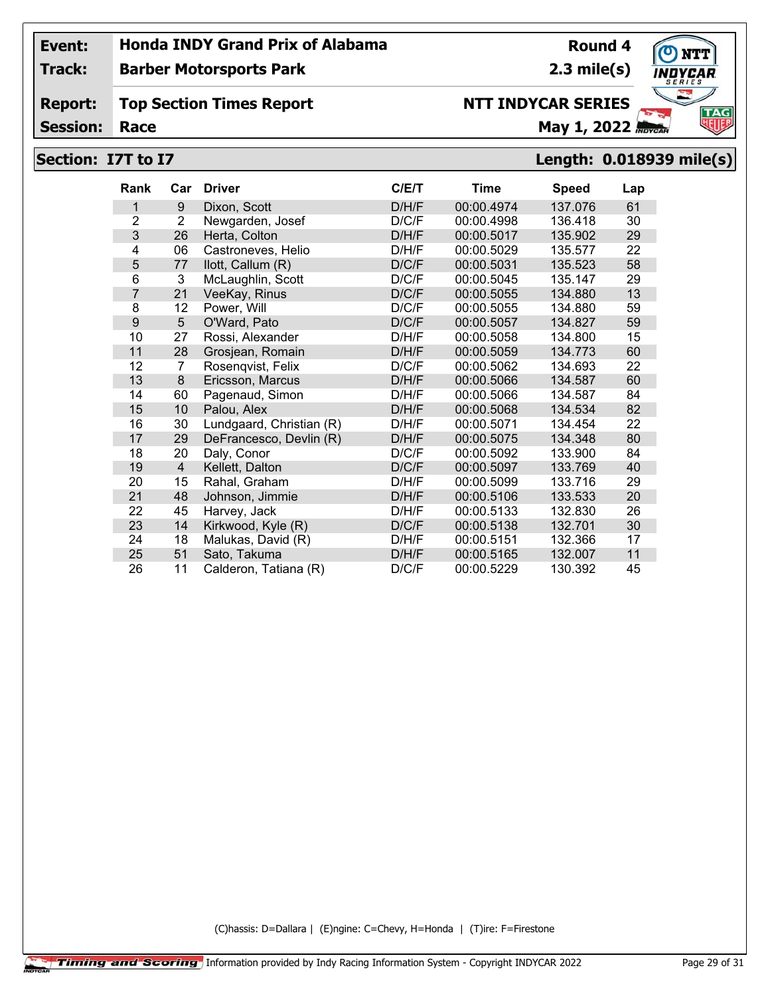**Track:**

## **Barber Motorsports Park**

### **Report: Top Section Times Report**

**Session:**

# **NTT INDYCAR SERIES**

**May 1, 2022** 

**Round 4 2.3 mile(s)**

## **Section: I7T to I7 Length: 0.018939 mile(s)**

| <b>Rank</b>    | Car            | <b>Driver</b>            | C/ET  | <b>Time</b> | <b>Speed</b> | Lap |
|----------------|----------------|--------------------------|-------|-------------|--------------|-----|
| 1              | 9              | Dixon, Scott             | D/H/F | 00:00.4974  | 137.076      | 61  |
| $\overline{2}$ | $\overline{2}$ | Newgarden, Josef         | D/C/F | 00:00.4998  | 136.418      | 30  |
| 3              | 26             | Herta, Colton            | D/H/F | 00:00.5017  | 135.902      | 29  |
| 4              | 06             | Castroneves, Helio       | D/H/F | 00:00.5029  | 135.577      | 22  |
| 5              | 77             | llott, Callum (R)        | D/C/F | 00:00.5031  | 135.523      | 58  |
| 6              | 3              | McLaughlin, Scott        | D/C/F | 00:00.5045  | 135.147      | 29  |
| 7              | 21             | VeeKay, Rinus            | D/C/F | 00:00.5055  | 134.880      | 13  |
| 8              | 12             | Power, Will              | D/C/F | 00:00.5055  | 134.880      | 59  |
| 9              | 5              | O'Ward, Pato             | D/C/F | 00:00.5057  | 134.827      | 59  |
| 10             | 27             | Rossi, Alexander         | D/H/F | 00:00.5058  | 134.800      | 15  |
| 11             | 28             | Grosjean, Romain         | D/H/F | 00:00.5059  | 134.773      | 60  |
| 12             | 7              | Rosenqvist, Felix        | D/C/F | 00:00.5062  | 134.693      | 22  |
| 13             | 8              | Ericsson, Marcus         | D/H/F | 00:00.5066  | 134.587      | 60  |
| 14             | 60             | Pagenaud, Simon          | D/H/F | 00:00.5066  | 134.587      | 84  |
| 15             | 10             | Palou, Alex              | D/H/F | 00:00.5068  | 134.534      | 82  |
| 16             | 30             | Lundgaard, Christian (R) | D/H/F | 00:00.5071  | 134.454      | 22  |
| 17             | 29             | DeFrancesco, Devlin (R)  | D/H/F | 00:00.5075  | 134.348      | 80  |
| 18             | 20             | Daly, Conor              | D/C/F | 00:00.5092  | 133.900      | 84  |
| 19             | $\overline{4}$ | Kellett, Dalton          | D/C/F | 00:00.5097  | 133.769      | 40  |
| 20             | 15             | Rahal, Graham            | D/H/F | 00:00.5099  | 133.716      | 29  |
| 21             | 48             | Johnson, Jimmie          | D/H/F | 00:00.5106  | 133.533      | 20  |
| 22             | 45             | Harvey, Jack             | D/H/F | 00:00.5133  | 132.830      | 26  |
| 23             | 14             | Kirkwood, Kyle (R)       | D/C/F | 00:00.5138  | 132.701      | 30  |
| 24             | 18             | Malukas, David (R)       | D/H/F | 00:00.5151  | 132.366      | 17  |
| 25             | 51             | Sato, Takuma             | D/H/F | 00:00.5165  | 132.007      | 11  |
| 26             | 11             | Calderon, Tatiana (R)    | D/C/F | 00:00.5229  | 130.392      | 45  |

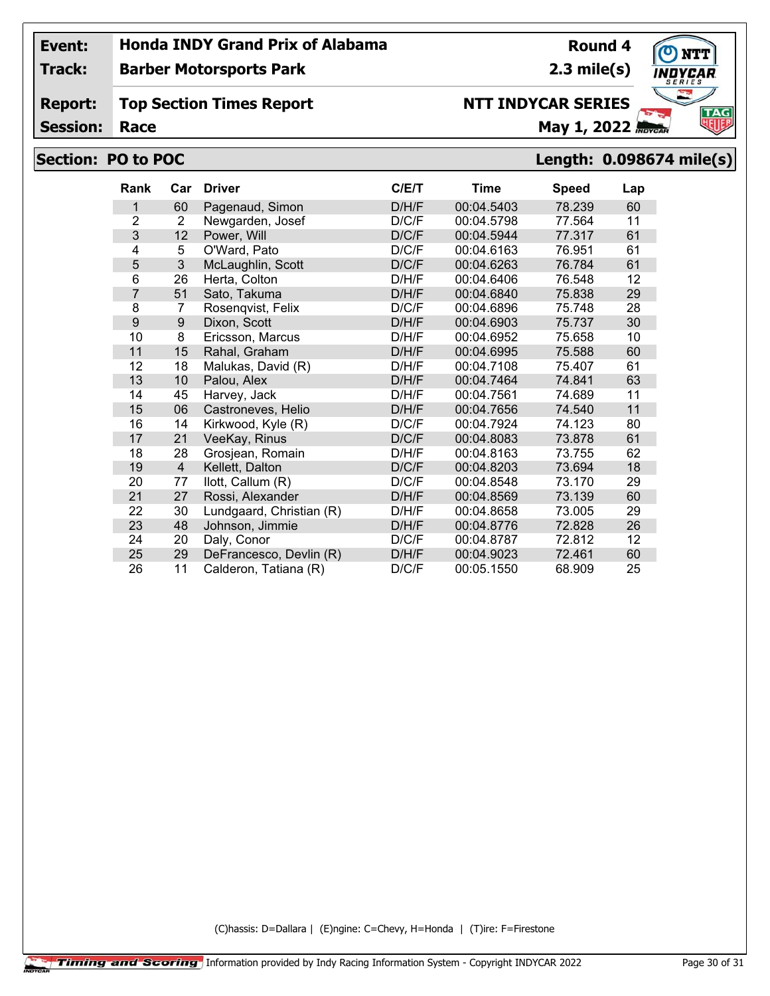**Track:**

## **Barber Motorsports Park**

#### **Report: Top Section Times Report**

**Session:**

# **NTT INDYCAR SERIES**

**Race May 1, 2022** *Rocal* **<b>May 1, 2022** *Royck***</mark>** 

**Round 4 2.3 mile(s)**

# **Section: PO to POC Length: 0.098674 mile(s)**

| Rank           | Car            | <b>Driver</b>            | C/ET  | <b>Time</b> | <b>Speed</b> | Lap |
|----------------|----------------|--------------------------|-------|-------------|--------------|-----|
| 1              | 60             | Pagenaud, Simon          | D/H/F | 00:04.5403  | 78.239       | 60  |
| $\overline{2}$ | 2              | Newgarden, Josef         | D/C/F | 00:04.5798  | 77.564       | 11  |
| 3              | 12             | Power, Will              | D/C/F | 00:04.5944  | 77.317       | 61  |
| 4              | 5              | O'Ward, Pato             | D/C/F | 00:04.6163  | 76.951       | 61  |
| 5              | 3              | McLaughlin, Scott        | D/C/F | 00:04.6263  | 76.784       | 61  |
| 6              | 26             | Herta, Colton            | D/H/F | 00:04.6406  | 76.548       | 12  |
| $\overline{7}$ | 51             | Sato, Takuma             | D/H/F | 00:04.6840  | 75.838       | 29  |
| 8              | 7              | Rosenqvist, Felix        | D/C/F | 00:04.6896  | 75.748       | 28  |
| 9              | 9              | Dixon, Scott             | D/H/F | 00:04.6903  | 75.737       | 30  |
| 10             | 8              | Ericsson, Marcus         | D/H/F | 00:04.6952  | 75.658       | 10  |
| 11             | 15             | Rahal, Graham            | D/H/F | 00:04.6995  | 75.588       | 60  |
| 12             | 18             | Malukas, David (R)       | D/H/F | 00:04.7108  | 75.407       | 61  |
| 13             | 10             | Palou, Alex              | D/H/F | 00:04.7464  | 74.841       | 63  |
| 14             | 45             | Harvey, Jack             | D/H/F | 00:04.7561  | 74.689       | 11  |
| 15             | 06             | Castroneves, Helio       | D/H/F | 00:04.7656  | 74.540       | 11  |
| 16             | 14             | Kirkwood, Kyle (R)       | D/C/F | 00:04.7924  | 74.123       | 80  |
| 17             | 21             | VeeKay, Rinus            | D/C/F | 00:04.8083  | 73.878       | 61  |
| 18             | 28             | Grosjean, Romain         | D/H/F | 00:04.8163  | 73.755       | 62  |
| 19             | $\overline{4}$ | Kellett, Dalton          | D/C/F | 00:04.8203  | 73.694       | 18  |
| 20             | 77             | llott, Callum (R)        | D/C/F | 00:04.8548  | 73.170       | 29  |
| 21             | 27             | Rossi, Alexander         | D/H/F | 00:04.8569  | 73.139       | 60  |
| 22             | 30             | Lundgaard, Christian (R) | D/H/F | 00:04.8658  | 73.005       | 29  |
| 23             | 48             | Johnson, Jimmie          | D/H/F | 00:04.8776  | 72.828       | 26  |
| 24             | 20             | Daly, Conor              | D/C/F | 00:04.8787  | 72.812       | 12  |
| 25             | 29             | DeFrancesco, Devlin (R)  | D/H/F | 00:04.9023  | 72.461       | 60  |
| 26             | 11             | Calderon, Tatiana (R)    | D/C/F | 00:05.1550  | 68.909       | 25  |